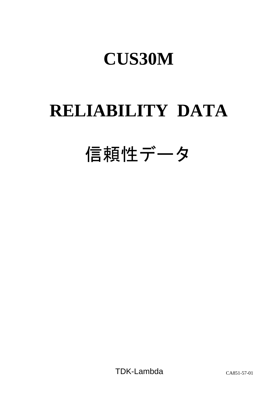# **RELIABILITY DATA**

# 信頼性データ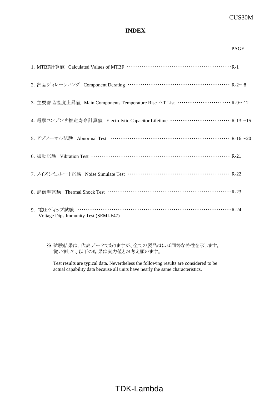### **INDEX**

|                                                                                          | <b>PAGE</b> |
|------------------------------------------------------------------------------------------|-------------|
|                                                                                          |             |
| 2. 部品ディレーティング Component Derating …………………………………………… R-2~8                                 |             |
| 3. 主要部品温度上昇値 Main Components Temperature Rise △T List ··························· R-9~12 |             |
| 4. 電解コンデンサ推定寿命計算値 Electrolytic Capacitor Lifetime ………………………… R-13~15                     |             |
| 5. アブノーマル試験 Abnormal Test …………………………………………………… R-16~20                                   |             |
| 6. 振動試験 Vibration Test ………………………………………………………… R-21                                       |             |
| 7. ノイズシミュレート試験 Noise Simulate Test …………………………………………… R-22                                |             |
| 8. 熱衝擊試験 Thermal Shock Test ……………………………………………………… R-23                                   |             |
| 9. 電圧ディップ試験 ……………………………………………………………………R-24<br>Voltage Dips Immunity Test (SEMI-F47)      |             |

※ 試験結果は、代表データでありますが、全ての製品はほぼ同等な特性を示します。 従いまして、以下の結果は実力値とお考え願います。

Test results are typical data. Nevertheless the following results are considered to be actual capability data because all units have nearly the same characteristics.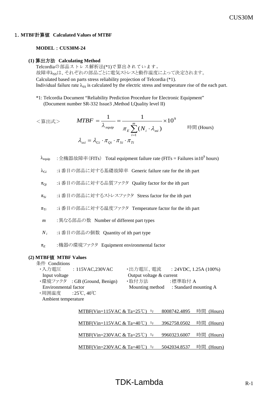#### 1.**MTBF**計算値 **Calculated Values of MTBF**

#### **MODEL** : **CUS30M-24**

#### **(1)** 算出方法 **Calculating Method**

Telcordiaの部品ストレス解析法(\*1)で算出されています。 故障率 $\lambda_{\rm SS}$ は、それぞれの部品ごとに電気ストレスと動作温度によって決定されます。 Calculated based on parts stress reliability projection of Telcordia (\*1). Individual failure rate  $\lambda_{SS}$  is calculated by the electric stress and temperature rise of the each part.

\*1: Telcordia Document "Reliability Prediction Procedure for Electronic Equipment" (Document number SR-332 Issue3 ,Method I,Quality level II)

$$
\langle \hat{\mathbf{g}} \mathbf{\hat{\mathbf{H}}} \mathbf{\hat{\mathbf{x}}} \rangle \qquad MTBF = \frac{1}{\lambda_{\text{equiv}}} = \frac{1}{\pi_E \sum_{i=1}^{m} (N_i \cdot \lambda_{\text{ss}i})} \times 10^9
$$
iffiff (Hours)  

$$
\lambda_{\text{ss}i} = \lambda_{Gi} \cdot \pi_{Qi} \cdot \pi_{Si} \cdot \pi_{Ti}
$$

- $\lambda_{\rm equip}$  :全機器故障率(FITs) Total equipment failure rate (FITs = Failures in10 $^9$  hours)
- λG*<sup>i</sup>* :i 番目の部品に対する基礎故障率 Generic failure rate for the ith part
- πQ*<sup>i</sup>* :i 番目の部品に対する品質ファクタ Quality factor for the ith part
- $π<sub>Si</sub>$  :i 番目の部品に対するストレスファクタ Stress factor for the ith part
- $π<sub>T*i*</sub>$  :i 番目の部品に対する温度ファクタ Temperature factor for the ith part
- *m* :異なる部品の数 Number of different part types
- *N <sup>i</sup>* :i 番目の部品の個数 Quantity of ith part type
- π*<sup>E</sup>* :機器の環境ファクタ Equipment environmental factor

#### **(2) MTBF**値 **MTBF Values**

条件 Conditions

| ・入力雷圧                | : $115\text{VAC},230\text{VAC}$ | ・出力電圧、電流                 | $: 24VDC, 1.25A (100\%)$              |
|----------------------|---------------------------------|--------------------------|---------------------------------------|
| Input voltage        |                                 | Output voltage & current |                                       |
|                      | ・環境ファクタ : GB (Ground, Benign)   | ・取付方法                    | :標準取付 A                               |
| Environmental factor |                                 |                          | Mounting method : Standard mounting A |
| ・周囲温度  :25℃,40℃      |                                 |                          |                                       |
| Ambient temperature  |                                 |                          |                                       |
|                      |                                 |                          |                                       |

| MTBF(Vin=115VAC & Ta=25℃) ≒ 8008742.4895 時間 (Hours)            |  |
|----------------------------------------------------------------|--|
|                                                                |  |
| <u>MTBF(Vin=115VAC &amp; Ta=40℃) ≒ 3962758.0502 時間 (Hours)</u> |  |
| MTBF(Vin=230VAC & Ta=25℃) ≒ 9960323.6007 時間 (Hours)            |  |
|                                                                |  |
| MTBF(Vin=230VAC & Ta=40℃) ≒ 5042034.8537 時間 (Hours)            |  |

# $TDK$ -Lambda  $R-1$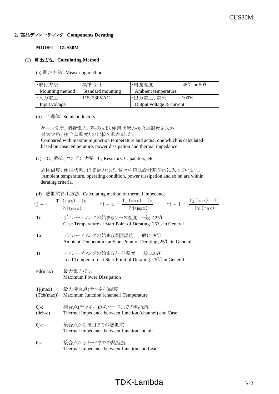#### **2**.部品ディレーティング **Components Derating**

#### **MODEL** : **CUS30M**

#### **(1)** 算出方法 **Calculating Method**

(a) 測定方法 Measuring method

| ·取付方法           | :標準取付             | ・周囲温度                      | : 45°C or 50°C |
|-----------------|-------------------|----------------------------|----------------|
| Mounting method | Standard mounting | Ambient temperature        |                |
| ・入力電圧           | : 115, 230VAC     | •出力電圧、電流                   | $:100\%$       |
| Input voltage   |                   | Output voltage $&$ current |                |

(b) 半導体 Semiconductors

 ケース温度、消費電力、熱抵抗より使用状態の接合点温度を求め 最大定格、接合点温度との比較を求めました。

 Compared with maximum junction temperature and actual one which is calculated based on case temperature, power dissipation and thermal impedance.

(c) IC、抵抗、コンデンサ等 IC, Resistors, Capacitors, etc.

 周囲温度、使用状態、消費電力など、個々の値は設計基準内に入っています。 Ambient temperature, operating condition, power dissipation and so on are within derating criteria.

#### (d) 熱抵抗算出方法 Calculating method of thermal impedance

|                 | $\theta j - c = \frac{Tj(\max) - Tc}{Pd(\max)} \qquad \theta j - a = \frac{Tj(\max) - Ta}{Pd(\max)} \qquad \theta j - 1 = \frac{Tj(\max) - Tl}{Pd(\max)}$ |
|-----------------|-----------------------------------------------------------------------------------------------------------------------------------------------------------|
| Tc              | :ディレーティングの始まるケース温度 一般に25℃<br>Case Temperature at Start Point of Derating; 25°C in General                                                                 |
| Ta              | :ディレーティングの始まる周囲温度 一般に25℃<br>Ambient Temperature at Start Point of Derating; 25°C in General                                                               |
| T1              | :ディレーティングの始まるリード温度 一般に25℃<br>Lead Temperature at Start Point of Derating; $25^{\circ}$ C in General                                                       |
|                 | Pd(max) :最大電力損失<br><b>Maximum Power Dissipation</b>                                                                                                       |
|                 | Tj(max) :最大接合点(チャネル)温度<br>(Tch(max)) Maximum Junction (channel) Temperature                                                                               |
| $(\theta$ ch-c) | θj-c :接合点(チャネル)からケースまでの熱抵抗<br>Thermal Impedance between Junction (channel) and Case                                                                       |
| $\theta$ j-a    | :接合点から周囲までの熱抵抗<br>Thermal Impedance between Junction and air                                                                                              |
| $\theta$ j-l    | :接合点からリードまでの熱抵抗                                                                                                                                           |

#### Thermal Impedance between Junction and Lead

# $TDK-Lambda$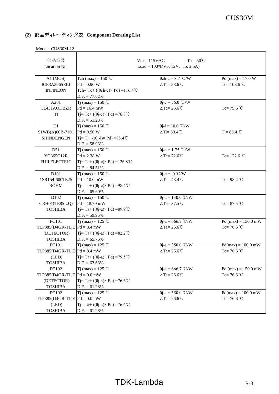| 部品番号<br>Location No.                                                           |                                                                                                                              | $Ta = 50^{\circ}C$<br>$Vin = 115VAC$<br>Load = $100\%$ (Vo: 12V, Io: 2.5A) |                                        |
|--------------------------------------------------------------------------------|------------------------------------------------------------------------------------------------------------------------------|----------------------------------------------------------------------------|----------------------------------------|
| A1 (MOS)<br>ICE3A2065ELJ<br><b>INFINEON</b>                                    | Tch (max) = $150$ °C<br>$Pd = 0.90 W$<br>Tch=Tc+ (( $\theta$ ch-c) × Pd) = 116.4°C<br>$D.F. = 77.62\%$                       | $\theta$ ch-c = 8.7 °C/W<br>$\Delta$ Tc= 58.6°C                            | Pd (max) = $17.0 W$<br>Tc= $108.6$ °C  |
| A201<br>TL431AQDBZR<br>TI                                                      | T <sub>j</sub> (max) = 150 °C<br>$Pd = 16.4$ mW<br>$Tj = Tc + ((\theta j - c) \times Pd) = 76.8^{\circ}C$<br>$D.F. = 51.23%$ | $\theta$ j-c = 76.0 °C/W<br>$\Delta$ Tc= 25.6 °C                           | Tc= $75.6$ °C                          |
| D1<br>S1WB(A)60B-7101<br><b>SHINDENGEN</b>                                     | Tj (max) = 150 °C<br>$Pd = 0.50 W$<br>$Ti= TI+ ((\theta i-I) \times Pd) = 88.4^{\circ}C$<br>$D.F. = 58.93\%$                 | $\theta$ j-l = 10.0 °C/W<br>$\Delta$ Tl= 33.4°C                            | $TI = 83.4$ °C                         |
| D51<br>YG865C12R<br><b>FUJI ELECTRIC</b>                                       | Tj (max) = 150 °C<br>$Pd = 2.38 W$<br>$T = Tc + ((\theta i - c) \times Pd) = 126.8^{\circ}C$<br>$D.F. = 84.51\%$             | $\theta$ j-c = 1.75 °C/W<br>$\triangle Tc = 72.6^{\circ}C$                 | Tc= $122.6$ °C                         |
| D101<br>1SR154-600TE25<br><b>ROHM</b>                                          | Tj (max) = 150 °C<br>$Pd = 10.0$ mW<br>$T = Tc + ((\theta j - c) \times Pd) = 98.4^{\circ}C$<br>$D.F. = 65.60\%$             | $\theta$ j-c = .0 °C/W<br>$\Delta$ Tc= 48.4°C                              | Tc= $98.4$ °C                          |
| D102<br>CRH01(TE85L,Q)<br><b>TOSHIBA</b>                                       | T <sub>j</sub> (max) = 150 °C<br>$Pd = 18.70$ mW<br>Tj=Ta+(( $\theta$ j-a)×Pd)=89.9°C<br>$D.F. = 59.95\%$                    | $\theta$ j-a = 130.0 °C/W<br>$\Delta$ Ta= 37.5°C                           | Tc= $87.5$ °C                          |
| <b>PC101</b><br>TLP385(D4GR-TL,E $Pd = 8.4$ mW<br>(DETECTOR)<br><b>TOSHIBA</b> | T <sub>j</sub> (max) = 125 °C<br>Tj=Ta+(( $\theta$ j-a)×Pd)=82.2°C<br>$D.F. = 65.76\%$                                       | $\theta$ j-a = 666.7 °C/W<br>$\Delta$ Ta= 26.6°C                           | Pd (max) = $150.0$ mW<br>Tc= 76.6 $°C$ |
| PC101<br>$TLP385(D4GR-TL,E Pd = 8.4 mW$<br>(LED)<br><b>TOSHIBA</b>             | Tj (max) = 125 °C<br>Tj=Ta+( $(\theta$ j-a)×Pd)=79.5°C<br>$D.F. = 63.63\%$                                                   | $\theta$ j-a = 350.0 °C/W<br>$\Delta$ Ta= 26.6°C                           | $Pd(max) = 100.0$ mW<br>$Tc = 76.6 °C$ |
| PC102<br>TLP385(D4GR-TL,E $Pd = 0.0$ mW<br>(DETECTOR)<br><b>TOSHIBA</b>        | T <sub>j</sub> (max) = 125 °C<br>Tj=Ta+(( $\theta$ j-a)×Pd)=76.6°C<br>$D.F. = 61.28%$                                        | $\theta$ j-a = 666.7 °C/W<br>$\Delta$ Ta= 26.6°C                           | Pd (max) = $150.0$ mW<br>Tc= 76.6 °C   |
| PC102<br>TLP385( $D4GR$ -TL,E $Pd = 0.0$ mW<br>(LED)<br><b>TOSHIBA</b>         | T <sub>j</sub> (max) = 125 °C<br>Tj= Ta+ (( $\theta$ j-a) × Pd) = 76.6 °C<br>$D.F. = 61.28%$                                 | $\theta$ j-a = 350.0 °C/W<br>$\Delta$ Ta= 26.6°C                           | $Pd(max) = 100.0$ mW<br>Tc= 76.6 °C    |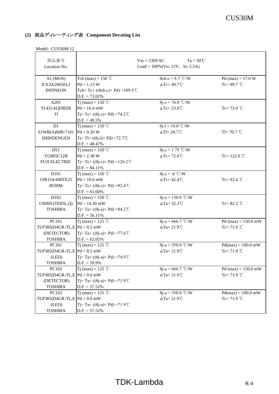| 部品番号                           |                                                        | $Ta = 50^{\circ}C$<br>$Vin = 230VAC$ |                       |
|--------------------------------|--------------------------------------------------------|--------------------------------------|-----------------------|
| Location No.                   | Load = $100\%$ (Vo: 12V, Io: 2.5A)                     |                                      |                       |
| $A1$ (MOS)                     | Tch (max) = $150$ °C                                   | $\theta$ ch-c = 8.7 °C/W             | Pd (max) = $17.0 W$   |
| ICE3A2065ELJ                   | $Pd = 1.13 W$                                          | $\Delta$ Tc= 49.7°C                  | Tc= $99.7$ °C         |
| <b>INFINEON</b>                | Tch=Tc+ (( $\theta$ ch-c) × Pd) = 109.5 °C             |                                      |                       |
|                                | $D.F. = 73.02\%$                                       |                                      |                       |
| A201                           | T <sub>i</sub> (max) = 150 °C                          | $\theta$ j-c = 76.0 °C/W             |                       |
| TL431AQDBZR                    | $Pd = 16.4$ mW                                         | $\Delta$ Tc= 23.0°C                  | Tc= $73.0$ °C         |
| TI                             | Tj=Tc+ (( $\theta$ j-c) × Pd) = 74.2 °C                |                                      |                       |
|                                | $D.F. = 49.5\%$                                        |                                      |                       |
| D1                             | Tj (max) = 150 °C                                      | $\theta$ j-l = 10.0 °C/W             |                       |
| S1WB(A)60B-7101                | $Pd = 0.20 W$                                          | $\Delta T = 20.7^{\circ}C$           | Tl= $70.7$ °C         |
| <b>SHINDENGEN</b>              | Tj= Tl+ $((\theta j - l) \times Pd) = 72.7^{\circ}$ C  |                                      |                       |
|                                | $D.F. = 48.47\%$                                       |                                      |                       |
| D51                            | T <sub>j</sub> (max) = 150 °C                          | $\theta j - c = 1.75$ °C/W           |                       |
| YG865C12R                      | $Pd = 2.38 W$                                          | $\triangle$ Tc= 72.0°C               | Tc= $122.0$ °C        |
| <b>FUJI ELECTRIC</b>           | Tj= Tc+ ((θj-c)× Pd) = 126.2 °C                        |                                      |                       |
|                                | $D.F. = 84.11\%$                                       |                                      |                       |
| D101                           | Tj (max) = 150 °C                                      | $\theta$ j-c = .0 °C/W               |                       |
| 1SR154-600TE25                 | $Pd = 10.0$ mW                                         | $\Delta$ Tc= 42.4°C                  | Tc= $92.4$ °C         |
| <b>ROHM</b>                    | $Tj = Tc + ((\theta j - c) \times Pd) = 92.4^{\circ}C$ |                                      |                       |
|                                | $D.F. = 61.60\%$                                       |                                      |                       |
| D102                           | Tj (max) = 150 °C                                      | $\theta$ j-a = 130.0 °C/W            |                       |
| CRH01(TE85L,Q)                 | $Pd = 14.30$ mW                                        | $\Delta$ Ta= 32.3°C                  | Tc= $82.3$ °C         |
| <b>TOSHIBA</b>                 | Tj=Ta+(( $\theta$ j-a) × Pd) = 84.2 °C                 |                                      |                       |
|                                | $D.F. = 56.11\%$                                       |                                      |                       |
| <b>PC101</b>                   | T <sub>j</sub> (max) = 125 °C                          | $\theta$ j-a = 666.7 °C/W            | Pd (max) = $150.0$ mW |
| TLP385(D4GR-TL,E $Pd = 8.5$ mW |                                                        | $\Delta$ Ta= 21.9°C                  | Tc= $71.9$ °C         |
| (DETECTOR)                     | Tj= Ta+ ((θj-a)× Pd) =77.6 ℃                           |                                      |                       |
| <b>TOSHIBA</b>                 | $D.F. = 62.05\%$                                       |                                      |                       |
| <b>PC101</b>                   | T <sub>j</sub> (max) = 125 °C                          | $\theta$ j-a = 350.0 °C/W            | $Pd(max) = 100.0$ mW  |
| TLP385(D4GR-TL,E $Pd = 8.5$ mW |                                                        | $\Delta$ Ta= 21.9°C                  | Tc= $71.9$ °C         |
| (LED)                          | Tj= Ta+ $((\theta j-a) \times Pd)$ =74.9°C             |                                      |                       |
| <b>TOSHIBA</b>                 | $D.F. = 59.9\%$                                        |                                      |                       |
| PC102                          | T <sub>j</sub> (max) = 125 °C                          | $\theta$ j-a = 666.7 °C/W            | Pd (max) = $150.0$ mW |
| TLP385(D4GR-TL,E $Pd = 0.0$ mW |                                                        | $\Delta$ Ta= 21.9°C                  | $Tc = 71.9$ °C        |
| (DETECTOR)                     | Ti= Ta+ $((\theta i-a) \times Pd)$ =71.9°C             |                                      |                       |
| <b>TOSHIBA</b>                 | $D.F. = 57.52\%$                                       |                                      |                       |
| PC102                          | T <sub>j</sub> (max) = 125 °C                          | $\theta$ j-a = 350.0 °C/W            | $Pd(max) = 100.0$ mW  |
| TLP385(D4GR-TL,E $Pd = 0.0$ mW |                                                        | $\Delta$ Ta= 21.9°C                  | $Tc = 71.9$ °C        |
| (LED)                          | Tj=Ta+(( $\theta$ j-a)×Pd)=71.9°C                      |                                      |                       |
| <b>TOSHIBA</b>                 | $D.F. = 57.52\%$                                       |                                      |                       |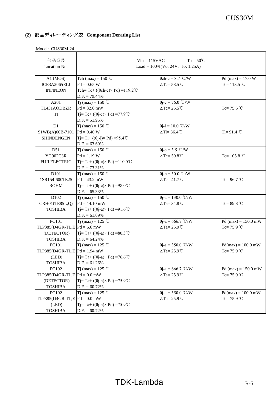| 部品番号<br>Location No.                          |                                                                                                        | $Ta = 50^{\circ}C$<br>$Vin = 115VAC$<br>Load = $100\%$ (Vo: 24V, Io: 1.25A) |                                       |
|-----------------------------------------------|--------------------------------------------------------------------------------------------------------|-----------------------------------------------------------------------------|---------------------------------------|
|                                               |                                                                                                        |                                                                             |                                       |
| $A1$ (MOS)<br>ICE3A2065ELJ<br><b>INFINEON</b> | Tch (max) = $150$ °C<br>$Pd = 0.65 W$<br>Tch=Tc+ (( $\theta$ ch-c) × Pd) = 119.2°C<br>$D.F. = 79.44\%$ | $\theta$ ch-c = 8.7 °C/W<br>$\Delta$ Tc= 58.5°C                             | Pd (max) = $17.0 W$<br>Tc= $113.5$ °C |
| A201                                          | T <sub>j</sub> (max) = 150 °C                                                                          | $\theta$ j-c = 76.0 °C/W                                                    |                                       |
| TL431AQDBZR                                   | $Pd = 32.0$ mW                                                                                         | $\Delta$ Tc= 25.5°C                                                         | Tc= $75.5$ °C                         |
| TI                                            | Tj= Tc+ ((θj-c)× Pd) =77.9 ℃<br>$D.F. = 51.95\%$                                                       |                                                                             |                                       |
| D1                                            | Tj (max) = 150 °C                                                                                      | $\theta$ j-l = 10.0 °C/W                                                    |                                       |
| S1WB(A)60B-7101                               | $Pd = 0.40 W$                                                                                          | $\Delta$ Tl= 36.4°C                                                         | Tl= $91.4$ °C                         |
| <b>SHINDENGEN</b>                             | $Ti= TI+ ((\theta i-I) \times Pd) = 95.4^{\circ}C$<br>$D.F. = 63.60\%$                                 |                                                                             |                                       |
| D51                                           | T <sub>1</sub> (max) = 150 °C                                                                          | $\theta$ j-c = 3.5 °C/W                                                     |                                       |
| YG902C3R                                      | $Pd = 1.19 W$                                                                                          | $\Delta$ Tc= 50.8°C                                                         | Tc= $105.8$ °C                        |
| <b>FUJI ELECTRIC</b>                          | Tj= Tc+ ((θj-c)× Pd) = 110.0 ℃<br>$D.F. = 73.31\%$                                                     |                                                                             |                                       |
| D101                                          | Tj (max) = 150 °C                                                                                      | $\theta$ j-c = 30.0 °C/W                                                    |                                       |
| 1SR154-600TE25                                | $Pd = 43.2$ mW                                                                                         | $\Delta Tc = 41.7^{\circ}C$                                                 | Tc= $96.7$ °C                         |
| <b>ROHM</b>                                   | Tj= Tc+ ((θj-c)× Pd) =98.0 ℃                                                                           |                                                                             |                                       |
|                                               | $D.F. = 65.33\%$                                                                                       |                                                                             |                                       |
| D102                                          | Tj (max) = 150 °C                                                                                      | $\theta$ j-a = 130.0 °C/W                                                   |                                       |
| CRH01(TE85L,Q)                                | $Pd = 14.10$ mW                                                                                        | $\Delta$ Ta= 34.8°C                                                         | Tc= $89.8$ °C                         |
| <b>TOSHIBA</b>                                | Tj= Ta+ ((θj-a)× Pd) =91.6 ℃                                                                           |                                                                             |                                       |
|                                               | $D.F. = 61.09\%$                                                                                       |                                                                             |                                       |
| PC101                                         | Tj (max) = 125 °C                                                                                      | $\theta$ j-a = 666.7 °C/W                                                   | Pd (max) = $150.0$ mW                 |
| TLP385(D4GR-TL,E $Pd = 6.6$ mW                |                                                                                                        | $\Delta$ Ta= 25.9°C                                                         | Tc= $75.9$ °C                         |
| (DETECTOR)                                    | Tj= Ta+ ((θj-a)× Pd) = 80.3 ℃                                                                          |                                                                             |                                       |
| <b>TOSHIBA</b>                                | $D.F. = 64.24\%$                                                                                       |                                                                             |                                       |
| PC101                                         | T <sub>j</sub> (max) = 125 °C                                                                          | $\theta$ j-a = 350.0 °C/W                                                   | $Pd(max) = 100.0$ mW                  |
| $TLP385(D4GR-TL,E Pd = 1.94 mW$               |                                                                                                        | $\Delta$ Ta= 25.9°C                                                         | $Tc = 75.9$ °C                        |
| (LED)                                         | Tj= Ta+ ((θj-a)× Pd) =76.6 ℃                                                                           |                                                                             |                                       |
| <b>TOSHIBA</b>                                | $D.F. = 61.26\%$                                                                                       |                                                                             |                                       |
| PC102                                         | Ti (max) = 125 °C                                                                                      | $\theta$ j-a = 666.7 °C/W                                                   | Pd (max) = $150.0$ mW                 |
| TLP385(D4GR-TL,E $Pd = 0.0$ mW                |                                                                                                        | $\Delta$ Ta= 25.9°C                                                         | Tc= $75.9$ °C                         |
| (DETECTOR)                                    | Ti= Ta+ $((\theta i-a) \times Pd)$ =75.9°C                                                             |                                                                             |                                       |
| <b>TOSHIBA</b>                                | $D.F. = 60.72\%$                                                                                       |                                                                             |                                       |
| PC102                                         | T <sub>j</sub> (max) = 125 °C                                                                          | $\theta$ j-a = 350.0 °C/W                                                   | $Pd(max) = 100.0$ mW                  |
| TLP385(D4GR-TL,E $Pd = 0.0$ mW                |                                                                                                        | $\Delta$ Ta= 25.9°C                                                         | Tc= $75.9$ °C                         |
| (LED)                                         | Ti= Ta+ $((\theta i-a) \times Pd)$ =75.9°C                                                             |                                                                             |                                       |
| <b>TOSHIBA</b>                                | $D.F. = 60.72\%$                                                                                       |                                                                             |                                       |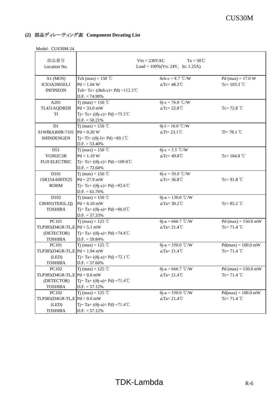| 部品番号<br>Location No.                                                    |                                                                                                                               | $Ta = 50^{\circ}C$<br>$Vin = 230VAC$<br>Load = $100\%$ (Vo: 24V, Io: 1.25A) |                                        |
|-------------------------------------------------------------------------|-------------------------------------------------------------------------------------------------------------------------------|-----------------------------------------------------------------------------|----------------------------------------|
| $A1$ (MOS)<br>ICE3A2065ELJ<br><b>INFINEON</b>                           | Tch (max) = $150$ °C<br>$Pd = 1.04 W$<br>Tch=Tc+ (( $\theta$ ch-c) × Pd) = 112.3°C<br>$D.F. = 74.90\%$                        | $\theta$ ch-c = 8.7 °C/W<br>$\triangle Tc = 48.3^{\circ}C$                  | Pd (max) = $17.0 W$<br>Tc= $103.3$ °C  |
| A201<br>TL431AQDBZR<br>TI                                               | T <sub>i</sub> (max) = 150 °C<br>$Pd = 33.0$ mW<br>Tj=Tc+ (( $\theta$ j-c) × Pd) = 75.3 °C<br>$D.F. = 50.21\%$                | $\theta$ j-c = 76.0 °C/W<br>$\triangle Tc = 22.8^{\circ}C$                  | Tc= $72.8 °C$                          |
| D1<br>S1WB(A)60B-7101<br><b>SHINDENGEN</b>                              | Tj (max) = 150 °C<br>$Pd = 0.20 W$<br>$Tj = Tl + ((\theta j - l) \times Pd) = 80.1^{\circ}C$<br>$D.F. = 53.40\%$              | $\theta$ j-l = 10.0 °C/W<br>$\Delta$ Tl= 23.1 °C                            | $TI = 78.1$ °C                         |
| D51<br>YG902C3R<br><b>FUJI ELECTRIC</b>                                 | T <sub>i</sub> (max) = 150 °C<br>$Pd = 1.19 W$<br>Tj= Tc+ ((θj-c)× Pd) = 109.0 °C<br>$D.F. = 72.64\%$                         | $\theta$ j-c = 3.5 °C/W<br>$\triangle Tc = 49.8^{\circ}C$                   | Tc= $104.8$ °C                         |
| D <sub>101</sub><br>1SR154-600TE25<br><b>ROHM</b>                       | T <sub>j</sub> (max) = 150 °C<br>$Pd = 27.9$ mW<br>$Tj = Tc + ((\theta j - c) \times Pd) = 92.6^{\circ}C$<br>$D.F. = 61.76\%$ | $\theta$ j-c = 30.0 °C/W<br>$\triangle Tc = 36.8^{\circ}C$                  | Tc=91.8 $°C$                           |
| D102<br>CRH01(TE85L,Q)<br><b>TOSHIBA</b>                                | Tj (max) = 150 °C<br>$Pd = 6.10$ mW<br>Tj= Ta+ ((θj-a)× Pd) =86.0 ℃<br>$D.F. = 57.33\%$                                       | $\theta$ j-a = 130.0 °C/W<br>$\triangle$ Ta= 30.2°C                         | Tc= $85.2$ °C                          |
| PC101<br>TLP385(D4GR-TL,E $Pd = 5.1$ mW<br>(DETECTOR)<br><b>TOSHIBA</b> | Tj (max) = 125 °C<br>Tj= Ta+ $((\theta j-a) \times Pd)$ =74.8°C<br>$D.F. = 59.84\%$                                           | $\theta$ j-a = 666.7 °C/W<br>$\Delta$ Ta= 21.4°C                            | Pd (max) = $150.0$ mW<br>Tc= $71.4$ °C |
| PC101<br>TLP385(D4GR-TL,E $Pd = 1.94$ mW<br>(LED)<br><b>TOSHIBA</b>     | Tj (max) = 125 °C<br>Tj=Ta+ $((\theta$ j-a)×Pd) =72.1°C<br>$D.F. = 57.66\%$                                                   | $\theta$ j-a = 350.0 °C/W<br>$\Delta$ Ta= 21.4°C                            | $Pd(max) = 100.0$ mW<br>$Tc = 71.4 °C$ |
| PC102<br>TLP385(D4GR-TL,E $Pd = 0.0$ mW<br>(DETECTOR)<br><b>TOSHIBA</b> | T <sub>j</sub> (max) = 125 °C<br>$Ti= Ta + ((\theta i - a) \times Pd) = 71.4$ °C<br>$D.F. = 57.12\%$                          | $\theta$ j-a = 666.7 °C/W<br>$\Delta$ Ta= 21.4°C                            | Pd (max) = $150.0$ mW<br>Tc= $71.4$ °C |
| PC102<br>TLP385(D4GR-TL,E $Pd = 0.0$ mW<br>(LED)<br><b>TOSHIBA</b>      | T <sub>j</sub> (max) = 125 °C<br>Tj=Ta+(( $\theta$ j-a)×Pd)=71.4°C<br>$D.F. = 57.12\%$                                        | $\theta$ j-a = 350.0 °C/W<br>$\Delta$ Ta= 21.4°C                            | $Pd(max) = 100.0$ mW<br>Tc= $71.4$ °C  |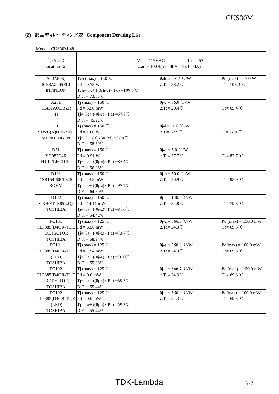| 部品番号                            | $Ta = 45^{\circ}C$<br>$Vin = 115VAC$                   |                                |                       |
|---------------------------------|--------------------------------------------------------|--------------------------------|-----------------------|
| Location No.                    | $Load = 100\%$ (Vo: 48V, Io: 0.63A)                    |                                |                       |
|                                 |                                                        |                                |                       |
| $A1$ (MOS)                      | Tch (max) = $150$ °C                                   | $\theta$ ch-c = 8.7 °C/W       | Pd (max) = $17.0 W$   |
| ICE3A2065ELJ                    | $Pd = 0.73 W$                                          | $\triangle Tc = 58.2^{\circ}C$ | Tc= $103.2$ °C        |
| <b>INFINEON</b>                 | Tch=Tc+ $((\theta ch-c) \times Pd) = 109.6^{\circ}C$   |                                |                       |
|                                 | $D.F. = 73.03\%$                                       |                                |                       |
| A201                            | T <sub>j</sub> (max) = 150 °C                          | $\theta$ j-c = 76.0 °C/W       |                       |
| TL431AQDBZR                     | $Pd = 32.0$ mW                                         | $\triangle Tc = 20.4$ °C       | Tc= $65.4$ °C         |
| TI                              | $Tj = Tc + ((\theta j - c) \times Pd) = 67.8^{\circ}C$ |                                |                       |
|                                 | $D.F. = 45.22\%$                                       |                                |                       |
| D1                              | Tj (max) = 150 °C                                      | $\theta$ j-l = 10.0 °C/W       |                       |
| S1WB(A)60B-7101                 | $Pd = 1.00 W$                                          | $\Delta$ Tl= 32.9°C            | Tl= $77.9$ °C         |
| <b>SHINDENGEN</b>               | $Ti=TI+$ (( $\theta$ j-l) × Pd) = 87.9 °C              |                                |                       |
|                                 | $D.F. = 58.60\%$                                       |                                |                       |
| D51                             | T <sub>j</sub> (max) = 150 °C                          | $\theta$ j-c = 3.0 °C/W        |                       |
| YG982C4R                        | $Pd = 0.91 W$                                          | $\triangle$ Tc= 37.7°C         | Tc= $82.7$ °C         |
| <b>FUJI ELECTRIC</b>            | $T = Tc + ((\theta i - c) \times Pd) = 85.4^{\circ}C$  |                                |                       |
|                                 | $D.F. = 56.96\%$                                       |                                |                       |
| D101                            | Tj (max) = 150 °C                                      | $\theta$ j-c = 30.0 °C/W       |                       |
| 1SR154-600TE25                  | $Pd = 43.2$ mW                                         | $\triangle Tc = 50.9^{\circ}C$ | Tc= $95.9$ °C         |
| <b>ROHM</b>                     | Ti= Tc+ $((\theta$ i-c $)\times$ Pd $)$ =97.2°C        |                                |                       |
|                                 | $D.F. = 64.80\%$                                       |                                |                       |
| D102                            | Tj (max) = 150 °C                                      | $\theta$ j-a = 130.0 °C/W      |                       |
| CRH01(TE85L,Q)                  | $Pd = 14.11$ mW                                        | $\Delta$ Ta= 34.8°C            | Tc= 79.8 $\degree$ C  |
| <b>TOSHIBA</b>                  | Tj=Ta+(( $\theta$ j-a) × Pd) = 81.6 °C                 |                                |                       |
|                                 | $D.F. = 54.42\%$                                       |                                |                       |
| PC101                           | T <sub>j</sub> (max) = 125 °C                          | $\theta$ j-a = 666.7 °C/W      | Pd (max) = $150.0$ mW |
| TLP385(D4GR-TL,E $Pd = 6.56$ mW |                                                        | $\Delta$ Ta= 24.3°C            | Tc= $69.3$ °C         |
| (DETECTOR)                      | Tj= Ta+ (( $\theta$ j-a)× Pd) =73.7℃                   |                                |                       |
| <b>TOSHIBA</b>                  | $D.F. = 58.94\%$                                       |                                |                       |
| PC101                           | Tj (max) = 125 °C                                      | $\theta$ j-a = 350.0 °C/W      | $Pd(max) = 100.0$ mW  |
| $TLP385(D4GR-TL,E Pd = 1.94 mW$ |                                                        | $\Delta$ Ta= 24.3°C            | Tc= 69.3 °C           |
| (LED)                           | Ti= Ta+ $((\theta$ i-a)× Pd) =70.0°C                   |                                |                       |
| <b>TOSHIBA</b>                  | $D.F. = 55.98\%$                                       |                                |                       |
| PC102                           | T <sub>j</sub> (max) = 125 °C                          | $\theta$ j-a = 666.7 °C/W      | Pd (max) = $150.0$ mW |
| TLP385(D4GR-TL,E $Pd = 0.0$ mW  |                                                        | $\Delta$ Ta= 24.3°C            | Tc= $69.3$ °C         |
| (DETECTOR)                      | Ti= Ta+ $((\theta$ i-a)× Pd) =69.3°C                   |                                |                       |
| <b>TOSHIBA</b>                  | $D.F. = 55.44\%$                                       |                                |                       |
| PC102                           | T <sub>j</sub> (max) = 125 °C                          | $\theta$ j-a = 350.0 °C/W      | $Pd(max) = 100.0$ mW  |
| TLP385(D4GR-TL,E $Pd = 0.0$ mW  |                                                        | $\Delta$ Ta= 24.3°C            | Tc= $69.3$ °C         |
| (LED)                           | Ti= Ta+ $((\theta$ i-a)× Pd) =69.3°C                   |                                |                       |
| <b>TOSHIBA</b>                  | $D.F. = 55.44\%$                                       |                                |                       |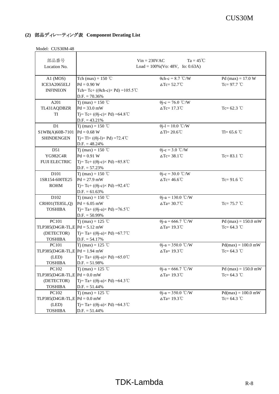| 部品番号<br>Location No.            |                                                        | $Ta = 45^{\circ}C$<br>$Vin = 230VAC$<br>Load = $100\%$ (Vo: 48V, Io: 0.63A) |                       |
|---------------------------------|--------------------------------------------------------|-----------------------------------------------------------------------------|-----------------------|
| $A1$ (MOS)                      | Tch (max) = $150$ °C                                   | $\theta$ ch-c = 8.7 °C/W                                                    | Pd (max) = $17.0 W$   |
| ICE3A2065ELJ                    | $Pd = 0.90 W$                                          | $\triangle$ Tc= 52.7°C                                                      | Tc= $97.7$ °C         |
| <b>INFINEON</b>                 | Tch=Tc+ $((\theta ch-c) \times Pd) = 105.5^{\circ}C$   |                                                                             |                       |
|                                 | $D.F. = 70.36\%$                                       |                                                                             |                       |
| A201                            | T <sub>i</sub> (max) = 150 °C                          | $\theta$ j-c = 76.0 °C/W                                                    |                       |
| TL431AQDBZR                     | $Pd = 33.0$ mW                                         | $\triangle Tc=17.3^{\circ}C$                                                | Tc= $62.3$ °C         |
| TI                              | $Tj = Tc + ((\theta j - c) \times Pd) = 64.8^{\circ}C$ |                                                                             |                       |
|                                 | $D.F. = 43.21\%$                                       |                                                                             |                       |
| D1                              | Tj (max) = 150 °C                                      | $\theta$ j-l = 10.0 °C/W                                                    |                       |
| S1WB(A)60B-7101                 | $Pd = 0.68 W$                                          | $\Delta T = 20.6^{\circ}C$                                                  | Tl= $65.6$ °C         |
| <b>SHINDENGEN</b>               | $Tj = Tl + ((\theta j - l) \times Pd) = 72.4^{\circ}C$ |                                                                             |                       |
|                                 | $D.F. = 48.24\%$                                       |                                                                             |                       |
| D51                             | T <sub>j</sub> (max) = 150 °C                          | $\theta$ j-c = 3.0 °C/W                                                     |                       |
| YG982C4R                        | $Pd = 0.91 W$                                          | $\triangle Tc = 38.1^{\circ}C$                                              | Tc= $83.1^{\circ}$ C  |
| <b>FUJI ELECTRIC</b>            | $Tj = Tc + ((\theta j - c) \times Pd) = 85.8^{\circ}C$ |                                                                             |                       |
|                                 | $D.F. = 57.23\%$                                       |                                                                             |                       |
| D101                            | Tj (max) = 150 °C                                      | $\theta$ j-c = 30.0 °C/W                                                    |                       |
| 1SR154-600TE25                  | $Pd = 27.9$ mW                                         | $\Delta$ Tc= 46.6°C                                                         | Tc= $91.6$ °C         |
| <b>ROHM</b>                     | Tj=Tc+ (( $\theta$ j-c) × Pd) = 92.4 °C                |                                                                             |                       |
|                                 | $D.F. = 61.63\%$                                       |                                                                             |                       |
| D102                            | Tj (max) = 150 °C                                      | $\theta$ j-a = 130.0 °C/W                                                   |                       |
| CRH01(TE85L,Q)                  | $Pd = 6.05$ mW                                         | $\Delta$ Ta= 30.7°C                                                         | Tc= $75.7$ °C         |
| <b>TOSHIBA</b>                  | Tj= Ta+ ((θj-a)× Pd) =76.5 ℃                           |                                                                             |                       |
|                                 | $D.F. = 50.99\%$                                       |                                                                             |                       |
| PC101                           | Tj (max) = 125 °C                                      | $\theta$ j-a = 666.7 °C/W                                                   | Pd (max) = $150.0$ mW |
| TLP385(D4GR-TL,E $Pd = 5.12$ mW |                                                        | $\Delta$ Ta= 19.3°C                                                         | Tc= $64.3$ °C         |
| (DETECTOR)                      | Tj= Ta+ (( $\theta$ j-a)× Pd) =67.7°C                  |                                                                             |                       |
| <b>TOSHIBA</b>                  | $D.F. = 54.17%$                                        |                                                                             |                       |
| PC101                           | Tj (max) = 125 °C                                      | $\theta$ j-a = 350.0 °C/W                                                   | $Pd(max) = 100.0$ mW  |
| $TLP385(D4GR-TL,E Pd = 1.94 mW$ |                                                        | $\Delta$ Ta= 19.3°C                                                         | Tc= $64.3$ °C         |
| (LED)                           | Ti= Ta+ $((\theta i-a) \times Pd)$ =65.0°C             |                                                                             |                       |
| <b>TOSHIBA</b>                  | $D.F. = 51.98\%$                                       |                                                                             |                       |
| PC102                           | T <sub>j</sub> (max) = 125 °C                          | $\theta$ j-a = 666.7 °C/W                                                   | Pd (max) = $150.0$ mW |
| TLP385(D4GR-TL,E $Pd = 0.0$ mW  |                                                        | $\Delta$ Ta= 19.3°C                                                         | Tc= $64.3$ °C         |
| (DETECTOR)                      | Ti= Ta+ $((\theta i-a) \times Pd)$ =64.3°C             |                                                                             |                       |
| <b>TOSHIBA</b>                  | $D.F. = 51.44\%$                                       |                                                                             |                       |
| PC102                           | T <sub>j</sub> (max) = 125 °C                          | $\theta$ j-a = 350.0 °C/W                                                   | $Pd(max) = 100.0$ mW  |
| TLP385(D4GR-TL,E $Pd = 0.0$ mW  |                                                        | $\Delta$ Ta= 19.3°C                                                         | Tc= $64.3$ °C         |
| (LED)                           | Tj= Ta+ $((\theta j-a) \times Pd)$ =64.3°C             |                                                                             |                       |
| <b>TOSHIBA</b>                  | $D.F. = 51.44\%$                                       |                                                                             |                       |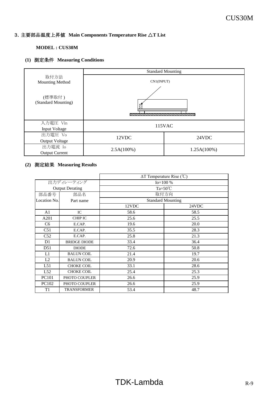#### **MODEL : CUS30M**

# **(1)** 測定条件 **Measuring Conditions**

|                                  |                                 | <b>Standard Mounting</b> |  |
|----------------------------------|---------------------------------|--------------------------|--|
| 取付方法<br><b>Mounting Method</b>   | CN1(INPUT)                      |                          |  |
| (標準取付)<br>(Standard Mounting)    |                                 |                          |  |
| 入力電圧 Vin<br>Input Voltage        | 115VAC                          |                          |  |
| 出力電圧 Vo<br><b>Output Voltage</b> | 12VDC                           | 24VDC                    |  |
| 出力電流 Io<br><b>Output Current</b> | $2.5A(100\%)$<br>$1.25A(100\%)$ |                          |  |

|                |                        | $\Delta T$ Temperature Rise (°C) |                          |
|----------------|------------------------|----------------------------------|--------------------------|
| 出力ディレーティング     |                        | $Io = 100 %$                     |                          |
|                | <b>Output Derating</b> | $Ta=50^{\circ}C$                 |                          |
| 部品番号           | 部品名                    | 取付方向                             |                          |
| Location No.   | Part name              |                                  | <b>Standard Mounting</b> |
|                |                        | 12VDC                            | 24VDC                    |
| A <sub>1</sub> | IC                     | 58.6                             | 58.5                     |
| A201           | <b>CHIP IC</b>         | 25.6                             | 25.5                     |
| C <sub>6</sub> | E.CAP.                 | 19.6                             | 20.0                     |
| C51            | E.CAP.                 | 35.5                             | 28.3                     |
| C52            | E.CAP.                 | 25.8                             | 21.3                     |
| D1             | <b>BRIDGE DIODE</b>    | 33.4                             | 36.4                     |
| D51            | <b>DIODE</b>           | 72.6                             | 50.8                     |
| L1             | <b>BALUN COIL</b>      | 21.4                             | 19.7                     |
| L2             | <b>BALUN COIL</b>      | 20.9                             | 20.6                     |
| L51            | <b>CHOKE COIL</b>      | 33.1                             | 28.6                     |
| L52            | <b>CHOKE COIL</b>      | 25.4                             | 25.3                     |
| PC101          | PHOTO COUPLER          | 26.6                             | 25.9                     |
| <b>PC102</b>   | PHOTO COUPLER          | 26.6                             | 25.9                     |
| T1             | <b>TRANSFORMER</b>     | 53.4                             | 48.7                     |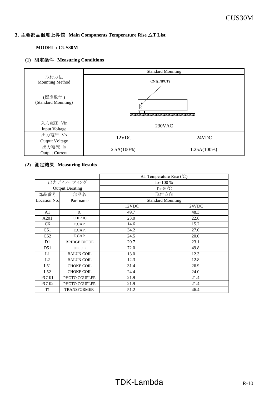#### **MODEL : CUS30M**

# **(1)** 測定条件 **Measuring Conditions**

|                                  | <b>Standard Mounting</b>        |  |
|----------------------------------|---------------------------------|--|
| 取付方法<br><b>Mounting Method</b>   | CN1(INPUT)                      |  |
| (標準取付)<br>(Standard Mounting)    |                                 |  |
| 入力電圧 Vin<br>Input Voltage        | 230VAC                          |  |
| 出力電圧 Vo<br><b>Output Voltage</b> | 12VDC<br>24VDC                  |  |
| 出力電流 Io<br><b>Output Current</b> | $2.5A(100\%)$<br>$1.25A(100\%)$ |  |

|                |                        | $\Delta T$ Temperature Rise (°C) |                          |
|----------------|------------------------|----------------------------------|--------------------------|
| 出力ディレーティング     |                        | $Io = 100 %$                     |                          |
|                | <b>Output Derating</b> |                                  | $Ta=50^{\circ}C$         |
| 部品番号           | 部品名                    | 取付方向                             |                          |
| Location No.   | Part name              |                                  | <b>Standard Mounting</b> |
|                |                        | 12VDC                            | 24VDC                    |
| A <sub>1</sub> | IC                     | 49.7                             | 48.3                     |
| A201           | <b>CHIP IC</b>         | 23.0                             | 22.8                     |
| C <sub>6</sub> | E.CAP.                 | 14.6                             | 15.2                     |
| C51            | E.CAP.                 | 34.2                             | 27.0                     |
| C52            | E.CAP.                 | 24.5                             | 20.0                     |
| D1             | <b>BRIDGE DIODE</b>    | 20.7                             | 23.1                     |
| D51            | <b>DIODE</b>           | 72.0                             | 49.8                     |
| L1             | <b>BALUN COIL</b>      | 13.0                             | 12.3                     |
| L2             | <b>BALUN COIL</b>      | 12.3                             | 12.8                     |
| L51            | <b>CHOKE COIL</b>      | 31.4                             | 26.9                     |
| L52            | <b>CHOKE COIL</b>      | 24.4                             | 24.0                     |
| PC101          | PHOTO COUPLER          | 21.9                             | 21.4                     |
| PC102          | PHOTO COUPLER          | 21.9                             | 21.4                     |
| T1             | <b>TRANSFORMER</b>     | 51.2                             | 46.4                     |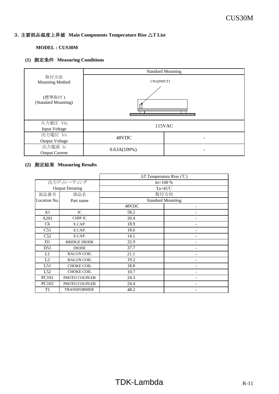#### **MODEL : CUS30M**

# **(1)** 測定条件 **Measuring Conditions**

|                                  | <b>Standard Mounting</b>                                            |  |
|----------------------------------|---------------------------------------------------------------------|--|
| 取付方法<br><b>Mounting Method</b>   | CN1(INPUT)                                                          |  |
| (標準取付)<br>(Standard Mounting)    | <b><i>REGISTER AND CONTRACT OF CONTRACT ORDER AND CONTRACT.</i></b> |  |
| 入力電圧 Vin<br>Input Voltage        | 115VAC                                                              |  |
| 出力電圧 Vo<br><b>Output Voltage</b> | 48VDC                                                               |  |
| 出力電流 Io<br><b>Output Current</b> | $0.63A(100\%)$                                                      |  |

|                |                        | $\Delta T$ Temperature Rise (°C) |   |
|----------------|------------------------|----------------------------------|---|
| 出力ディレーティング     |                        | $Io = 100 %$                     |   |
|                | <b>Output Derating</b> | Ta= $45^{\circ}$ C               |   |
| 部品番号           | 部品名                    | 取付方向                             |   |
| Location No.   | Part name              | <b>Standard Mounting</b>         |   |
|                |                        | 48VDC                            |   |
| A <sub>1</sub> | IC                     | 58.2                             |   |
| A201           | <b>CHIP IC</b>         | 20.4                             | - |
| C <sub>6</sub> | E.CAP.                 | 18.9                             |   |
| C51            | E.CAP.                 | 18.6                             |   |
| C52            | E.CAP.                 | 14.1                             |   |
| D1             | <b>BRIDGE DIODE</b>    | 32.9                             |   |
| D51            | <b>DIODE</b>           | 37.7                             |   |
| L1             | <b>BALUN COIL</b>      | 21.1                             |   |
| L2             | <b>BALUN COIL</b>      | 19.2                             | ۳ |
| L51            | <b>CHOKE COIL</b>      | 18.8                             |   |
| L52            | <b>CHOKE COIL</b>      | 10.7                             |   |
| PC101          | PHOTO COUPLER          | 24.3                             |   |
| PC102          | PHOTO COUPLER          | 24.4                             |   |
| T <sub>1</sub> | <b>TRANSFORMER</b>     | 48.2                             |   |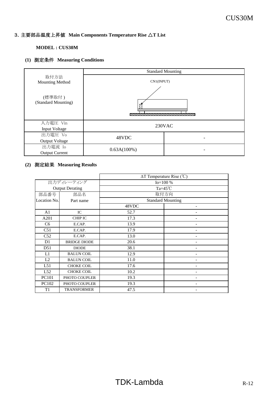#### **MODEL : CUS30M**

# **(1)** 測定条件 **Measuring Conditions**

|                                  | <b>Standard Mounting</b>                                                          |  |
|----------------------------------|-----------------------------------------------------------------------------------|--|
| 取付方法<br><b>Mounting Method</b>   | CN1(INPUT)<br><b><i>REGISTER AND CONTRACT OF CONTRACT ORDER AND CONTRACT.</i></b> |  |
| (標準取付)<br>(Standard Mounting)    |                                                                                   |  |
| 入力電圧 Vin<br>Input Voltage        | 230VAC                                                                            |  |
| 出力電圧 Vo<br><b>Output Voltage</b> | 48VDC                                                                             |  |
| 出力電流 Io<br><b>Output Current</b> | $0.63A(100\%)$                                                                    |  |

|                |                        | $\Delta T$ Temperature Rise (°C) |                          |
|----------------|------------------------|----------------------------------|--------------------------|
| 出力ディレーティング     |                        | $Io=100%$                        |                          |
|                | <b>Output Derating</b> | Ta= $45^{\circ}$ C               |                          |
| 部品番号           | 部品名                    | 取付方向                             |                          |
| Location No.   | Part name              |                                  | <b>Standard Mounting</b> |
|                |                        | 48VDC                            |                          |
| A <sub>1</sub> | IC                     | 52.7                             |                          |
| A201           | <b>CHIP IC</b>         | 17.3                             | ۰                        |
| C <sub>6</sub> | E.CAP.                 | 13.9                             |                          |
| C51            | E.CAP.                 | 17.9                             |                          |
| C52            | E.CAP.                 | 13.0                             |                          |
| D1             | <b>BRIDGE DIODE</b>    | 20.6                             |                          |
| D51            | <b>DIODE</b>           | 38.1                             |                          |
| L1             | <b>BALUN COIL</b>      | 12.9                             |                          |
| L2             | <b>BALUN COIL</b>      | 11.0                             | -                        |
| L51            | <b>CHOKE COIL</b>      | 17.6                             |                          |
| L52            | <b>CHOKE COIL</b>      | 10.2                             |                          |
| PC101          | PHOTO COUPLER          | 19.3                             |                          |
| PC102          | PHOTO COUPLER          | 19.3                             |                          |
| T1             | <b>TRANSFORMER</b>     | 47.5                             |                          |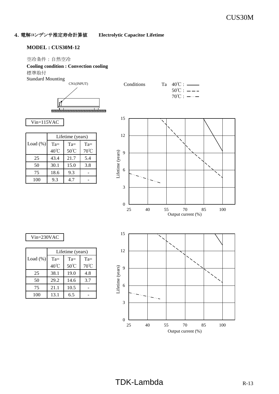4.電解コンデンサ推定寿命計算値 **Electrolytic Capacitor Lifetime**

#### **MODEL : CUS30M-12**

#### 空冷条件 : 自然空冷

#### **Cooling condition : Convection cooling**

標準取付

Standard Mounting









|             | Lifetime (years) |        |        |
|-------------|------------------|--------|--------|
| Load $(\%)$ | $Ta =$           | $Ta =$ | $Ta =$ |
|             | $40^{\circ}$ C   | 50°C   | 70°C   |
| 25          | 43.4             | 21.7   | 5.4    |
| 50          | 30.1             | 15.0   | 3.8    |
| 75          | 18.6             | 9.3    |        |
| 100         | 9.3              | 4.7    |        |



Vin=230VAC

|             | Lifetime (years) |                |       |
|-------------|------------------|----------------|-------|
| Load $(\%)$ | $Ta =$           | $Ta =$         | $Ta=$ |
|             | $40^{\circ}$ C   | $50^{\circ}$ C | 70°C  |
| 25          | 38.1             | 19.0           | 4.8   |
| 50          | 29.2             | 14.6           | 3.7   |
| 75          | 21.1             | 10.5           |       |
| 100         | 13.1             | 6.5            |       |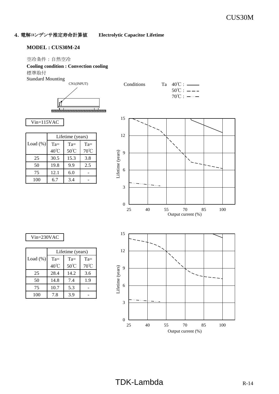4.電解コンデンサ推定寿命計算値 **Electrolytic Capacitor Lifetime**

#### **MODEL : CUS30M-24**

#### 空冷条件 : 自然空冷

#### **Cooling condition : Convection cooling**

標準取付

Standard Mounting









|             | Lifetime (years) |        |                |
|-------------|------------------|--------|----------------|
| Load $(\%)$ | $Ta =$           | $Ta =$ | $Ta =$         |
|             | 40°C             | 50°C   | $70^{\circ}$ C |
| 25          | 30.5             | 15.3   | 3.8            |
| 50          | 19.8             | 9.9    | 2.5            |
| 75          | 12.1             | 6.0    |                |
| 100         | 67               | 34     |                |



25 40 55 70 85 100

Output current (%)

#### Vin=230VAC

|             | Lifetime (years) |        |        |
|-------------|------------------|--------|--------|
| Load $(\%)$ | $Ta =$           | $Ta =$ | $Ta =$ |
|             | 40°C             | 50°C   | 70°C   |
| 25          | 28.4             | 14.2   | 3.6    |
| 50          | 14.8             | 7.4    | 1.9    |
| 75          | 10.7             | 5.3    |        |
| 100         | 7.8              | 3.9    |        |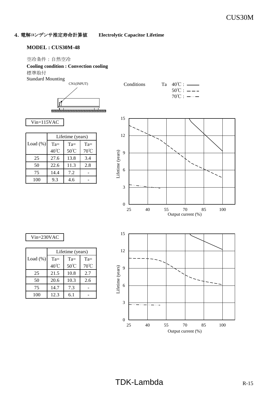# 4.電解コンデンサ推定寿命計算値 **Electrolytic Capacitor Lifetime**

#### **MODEL : CUS30M-48**

#### 空冷条件 : 自然空冷

#### **Cooling condition : Convection cooling**

標準取付

Standard Mounting





# $50^{\circ}$ C :  $-- 70^{\circ}$ C :  $-\cdots$

Vin=115VAC

|             | Lifetime (years) |        |        |
|-------------|------------------|--------|--------|
| Load $(\%)$ | $Ta =$           | $Ta =$ | $Ta =$ |
|             | 40°C             | 50°C   | 70°C   |
| 25          | 27.6             | 13.8   | 3.4    |
| 50          | 22.6             | 11.3   | 2.8    |
| 75          | 14.4             | 7.2    |        |
| 100         | 9.3              | 4.6    |        |



### Vin=230VAC

|             |        | Lifetime (years) |                |  |  |  |  |  |  |  |
|-------------|--------|------------------|----------------|--|--|--|--|--|--|--|
| Load $(\%)$ | $Ta =$ | $Ta =$           | $Ta =$         |  |  |  |  |  |  |  |
|             | 40°C   | 50°C             | $70^{\circ}$ C |  |  |  |  |  |  |  |
| 25          | 21.5   | 10.8             | 2.7            |  |  |  |  |  |  |  |
| 50          | 20.6   | 10.3             | 2.6            |  |  |  |  |  |  |  |
| 75          | 14.7   | 7.3              |                |  |  |  |  |  |  |  |
| 100         | 12.3   | 6.1              |                |  |  |  |  |  |  |  |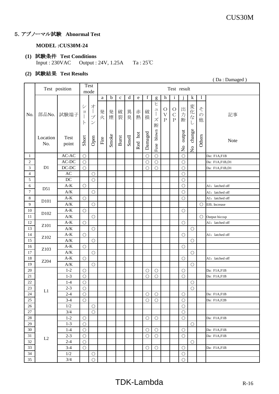# 5.アブノーマル試験 **Abnormal Test**

#### **MODEL :CUS30M-24**

#### **(1)** 試験条件 **Test Conditions** Input : 230VAC Output : 24V, 1.25A Ta : 25℃

# **(2)** 試験結果 **Test Results**

|                             |                 |                                | (Da: Damaged)          |                                                                                     |        |             |              |             |         |             |                                                                                                                                                                                                                                      |                                      |                                     |                                     |                                     |                         |                 |
|-----------------------------|-----------------|--------------------------------|------------------------|-------------------------------------------------------------------------------------|--------|-------------|--------------|-------------|---------|-------------|--------------------------------------------------------------------------------------------------------------------------------------------------------------------------------------------------------------------------------------|--------------------------------------|-------------------------------------|-------------------------------------|-------------------------------------|-------------------------|-----------------|
|                             |                 | Test position                  |                        | <b>Test</b><br>mode                                                                 |        |             |              |             |         |             |                                                                                                                                                                                                                                      |                                      | Test result                         |                                     |                                     |                         |                 |
|                             |                 |                                |                        |                                                                                     | a      | $\mathbf b$ | $\mathbf{C}$ | $\mathbf d$ | e       | $\mathbf f$ | g                                                                                                                                                                                                                                    | h                                    | $\mathbf{i}$                        |                                     | $\mathbf k$                         | $\mathbf{1}$            |                 |
| No.                         | 部品No.           | 試験端子                           | シ<br>目<br>$\mathsf{P}$ | 才<br>$\begin{array}{c} \hline \end{array}$<br>$\mathcal{I}^{\circ}$<br>$\checkmark$ | 発<br>火 | 発煙          | 破裂           | 異臭          | 赤熱      | 破<br>損      | ヒ<br>$\mathfrak{L}% =\mathfrak{L}_{\mathcal{A}}\left( \mathfrak{L}_{\mathcal{A}}\right) ^{\ast}\otimes\mathfrak{L}_{\mathcal{A}}\left( \mathfrak{L}_{\mathcal{A}}\right) ^{\ast}$<br>$\begin{array}{c} \hline \end{array}$<br>ズ<br>断 | $\circ$<br>$\overline{V}$<br>$\rm P$ | $\circ$<br>$\mathcal{C}$<br>$\rm P$ | 出力<br>断                             | 変化な<br>$\cup$                       | そ<br>$\mathcal{O}$<br>他 | 記事              |
|                             | Location<br>No. | Test<br>point                  | Short                  | Open                                                                                | Fire   | Smoke       | Burst        | Smell       | Red hot | Damaged     | blown<br>Fuse                                                                                                                                                                                                                        |                                      |                                     | output<br>$\mathsf{S}^{\mathsf{o}}$ | change<br>$\mathbf{S}_{\mathbf{N}}$ | Others                  | Note            |
| $\mathbf{1}$                |                 | $AC-AC$                        | $\bigcirc$             |                                                                                     |        |             |              |             |         | $\bigcirc$  | $\bigcirc$                                                                                                                                                                                                                           |                                      |                                     | $\bigcirc$                          |                                     |                         | Da: F1A,F1B     |
| $\sqrt{2}$                  |                 | $AC-DC$                        | $\bigcirc$             |                                                                                     |        |             |              |             |         | $\bigcirc$  | $\bigcirc$                                                                                                                                                                                                                           |                                      |                                     | $\bigcirc$                          |                                     |                         | Da: F1A,F1B,D1  |
| $\ensuremath{\mathfrak{Z}}$ | D1              | $DC-DC$                        | $\bigcirc$             |                                                                                     |        |             |              |             |         | $\bigcirc$  | $\bigcirc$                                                                                                                                                                                                                           |                                      |                                     | $\bigcirc$                          |                                     |                         | Da: F1A,F1B,D1  |
| 4                           |                 | AC                             |                        | $\bigcirc$                                                                          |        |             |              |             |         |             |                                                                                                                                                                                                                                      |                                      |                                     | $\bigcirc$                          |                                     |                         |                 |
| $\mathfrak{S}$              |                 | DC                             |                        | $\bigcirc$                                                                          |        |             |              |             |         |             |                                                                                                                                                                                                                                      |                                      |                                     | $\bigcirc$                          |                                     |                         |                 |
| $\sqrt{6}$                  | D51             | $\mathbf{A}\text{-}\mathbf{K}$ | $\bigcirc$             |                                                                                     |        |             |              |             |         |             |                                                                                                                                                                                                                                      |                                      |                                     | $\bigcirc$                          |                                     |                         | A1: latched off |
| $\boldsymbol{7}$            |                 | $\mathbf{A}/\mathbf{K}$        |                        | $\bigcirc$                                                                          |        |             |              |             |         |             |                                                                                                                                                                                                                                      |                                      |                                     | $\bigcirc$                          |                                     |                         | A1: latched off |
| $\,8\,$                     |                 | $A-K$                          | $\bigcirc$             |                                                                                     |        |             |              |             |         |             |                                                                                                                                                                                                                                      |                                      |                                     | $\bigcirc$                          |                                     |                         | A1: latched off |
| $\overline{9}$              | D101            | $A/K$                          |                        | $\bigcirc$                                                                          |        |             |              |             |         |             |                                                                                                                                                                                                                                      |                                      |                                     |                                     |                                     | $\bigcirc$              | Effi. Increase  |
| $10\,$                      |                 | $\mathbf{A}\text{-}\mathbf{K}$ | $\bigcirc$             |                                                                                     |        |             |              |             |         |             |                                                                                                                                                                                                                                      |                                      |                                     | $\bigcirc$                          |                                     |                         |                 |
| $11\,$                      | D102            | $\mathbf{A/K}$                 |                        | $\bigcirc$                                                                          |        |             |              |             |         |             |                                                                                                                                                                                                                                      |                                      |                                     |                                     |                                     | $\bigcirc$              | Output hiccup   |
| 12                          |                 | $A-K$                          | $\bigcirc$             |                                                                                     |        |             |              |             |         |             |                                                                                                                                                                                                                                      |                                      |                                     | $\bigcirc$                          |                                     |                         | A1: latched off |
| 13                          | Z101            | $\mathbf{A}/\mathbf{K}$        |                        | $\bigcirc$                                                                          |        |             |              |             |         |             |                                                                                                                                                                                                                                      |                                      |                                     |                                     | $\bigcirc$                          |                         |                 |
| 14                          |                 | $\mathbf{A}\text{-}\mathbf{K}$ | $\bigcirc$             |                                                                                     |        |             |              |             |         |             |                                                                                                                                                                                                                                      |                                      |                                     | $\bigcirc$                          |                                     |                         | A1: latched off |
| 15                          | Z102            | $\mathbf{A}/\mathbf{K}$        |                        | $\bigcirc$                                                                          |        |             |              |             |         |             |                                                                                                                                                                                                                                      |                                      |                                     |                                     | $\bigcirc$                          |                         |                 |
| 16                          |                 | $\mathbf{A}\text{-}\mathbf{K}$ | $\bigcirc$             |                                                                                     |        |             |              |             |         |             |                                                                                                                                                                                                                                      |                                      |                                     | $\bigcirc$                          |                                     |                         |                 |
| $17\,$                      | Z103            | $\mathbf{A/K}$                 |                        | $\bigcirc$                                                                          |        |             |              |             |         |             |                                                                                                                                                                                                                                      |                                      |                                     |                                     | $\bigcirc$                          |                         |                 |
| $18\,$                      |                 | $\mathbf{A}\text{-}\mathbf{K}$ | $\bigcirc$             |                                                                                     |        |             |              |             |         |             |                                                                                                                                                                                                                                      |                                      |                                     | $\bigcirc$                          |                                     |                         | A1: latched off |
| 19                          | Z204            | $A/K$                          |                        | $\bigcirc$                                                                          |        |             |              |             |         |             |                                                                                                                                                                                                                                      |                                      |                                     |                                     | $\bigcirc$                          |                         |                 |
| $20\,$                      |                 | $1 - 2$                        | $\bigcirc$             |                                                                                     |        |             |              |             |         | $\bigcirc$  | $\bigcirc$                                                                                                                                                                                                                           |                                      |                                     | $\bigcirc$                          |                                     |                         | Da: F1A,F1B     |
| 21                          |                 | $1 - 3$                        | $\bigcirc$             |                                                                                     |        |             |              |             |         | $\bigcirc$  | $\overline{O}$                                                                                                                                                                                                                       |                                      |                                     | $\overline{O}$                      |                                     |                         | Da: F1A,F1B     |
| $22\,$                      |                 | $1-4$                          | $\bigcirc$             |                                                                                     |        |             |              |             |         |             |                                                                                                                                                                                                                                      |                                      |                                     |                                     | $\bigcirc$                          |                         |                 |
| 23                          |                 | $2 - 3$                        | $\bigcirc$             |                                                                                     |        |             |              |             |         |             |                                                                                                                                                                                                                                      |                                      |                                     |                                     | $\bigcirc$                          |                         |                 |
| 24                          | L1              | $2 - 4$                        | $\bigcirc$             |                                                                                     |        |             |              |             |         | $\bigcirc$  | $\bigcirc$                                                                                                                                                                                                                           |                                      |                                     | $\bigcirc$                          |                                     |                         | Da: F1A,F1B     |
| 25                          |                 | $3-4$                          | $\bigcirc$             |                                                                                     |        |             |              |             |         | $\bigcirc$  | $\bigcirc$                                                                                                                                                                                                                           |                                      |                                     | $\bigcirc$                          |                                     |                         | Da: F1A,F2B     |
| 26                          |                 | 1/2                            |                        | $\bigcirc$                                                                          |        |             |              |             |         |             |                                                                                                                                                                                                                                      |                                      |                                     | $\bigcirc$                          |                                     |                         |                 |
| $27\,$                      |                 | 3/4                            |                        | $\bigcirc$                                                                          |        |             |              |             |         |             |                                                                                                                                                                                                                                      |                                      |                                     | $\bigcirc$                          |                                     |                         |                 |
| $28\,$                      |                 | $1 - 2$                        | $\bigcirc$             |                                                                                     |        |             |              |             |         | $\bigcirc$  | $\bigcirc$                                                                                                                                                                                                                           |                                      |                                     | $\bigcirc$                          |                                     |                         | Da: F1A,F1B     |
| 29                          |                 | $1-3$                          | $\bigcirc$             |                                                                                     |        |             |              |             |         |             |                                                                                                                                                                                                                                      |                                      |                                     |                                     | $\bigcirc$                          |                         |                 |
| 30                          |                 | $1 - 4$                        | $\bigcirc$             |                                                                                     |        |             |              |             |         | $\bigcirc$  | $\bigcirc$                                                                                                                                                                                                                           |                                      |                                     | $\bigcirc$                          |                                     |                         | Da: F1A,F1B     |
| 31                          |                 | $2 - 3$                        | $\bigcirc$             |                                                                                     |        |             |              |             |         | $\bigcirc$  | $\bigcirc$                                                                                                                                                                                                                           |                                      |                                     | $\bigcirc$                          |                                     |                         | Da: F1A,F1B     |
| 32                          | L2              | $2 - 4$                        | $\bigcirc$             |                                                                                     |        |             |              |             |         |             |                                                                                                                                                                                                                                      |                                      |                                     |                                     | $\bigcirc$                          |                         |                 |
| 33                          |                 | $3-4$                          | $\bigcirc$             |                                                                                     |        |             |              |             |         | $\bigcirc$  | $\bigcirc$                                                                                                                                                                                                                           |                                      |                                     | $\bigcirc$                          |                                     |                         | Da: F1A,F1B     |
| 34                          |                 | 1/2                            |                        | $\bigcirc$                                                                          |        |             |              |             |         |             |                                                                                                                                                                                                                                      |                                      |                                     | $\bigcirc$                          |                                     |                         |                 |
| 35                          |                 | 3/4                            |                        | $\bigcirc$                                                                          |        |             |              |             |         |             |                                                                                                                                                                                                                                      |                                      |                                     | $\bigcirc$                          |                                     |                         |                 |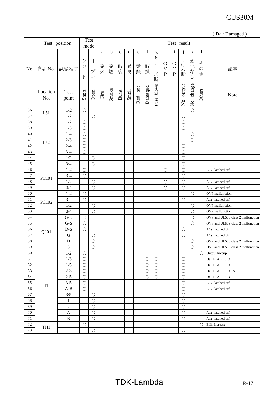|        |                 |                                |                         |                                                      |      |             |              |       |         |             |                                                                        |                                                  |                                       |                                     |                                   |                         | (Da: Damaged)                     |
|--------|-----------------|--------------------------------|-------------------------|------------------------------------------------------|------|-------------|--------------|-------|---------|-------------|------------------------------------------------------------------------|--------------------------------------------------|---------------------------------------|-------------------------------------|-----------------------------------|-------------------------|-----------------------------------|
|        |                 | Test position                  |                         | Test<br>mode                                         |      |             |              |       |         |             |                                                                        |                                                  | Test result                           |                                     |                                   |                         |                                   |
|        |                 |                                |                         |                                                      | a    | $\mathbf b$ | $\mathbf c$  | d     | e       | $\mathbf f$ | g                                                                      | h                                                | $\mathbf{i}$                          |                                     | $\bf k$                           | $\mathbf{1}$            |                                   |
| No.    | 部品No.           | 試験端子                           | シ<br>ヨ<br> <br>$\vdash$ | オ<br>$\overline{1}$<br>プ<br>$\overline{\mathscr{S}}$ | 発火   | 発煙          | 破裂           | 異臭    | 赤熱      | 破損          | ヒ<br>$\mathfrak{I}$<br>$\begin{array}{c} \hline \end{array}$<br>ズ<br>断 | $\bigcirc$<br>$\overline{\mathrm{V}}$<br>$\rm P$ | $\circ$<br>$\mathcal{C}$<br>${\bf P}$ | 出<br>力<br>断                         | 変化な                               | そ<br>$\mathcal{O}$<br>他 | 記事                                |
|        | Location<br>No. | Test<br>point                  | Short                   | Open                                                 | Fire | Smoke       | <b>Burst</b> | Smell | Red hot | Damaged     | Fuse blown                                                             |                                                  |                                       | output<br>$\mathsf{S}^{\mathsf{o}}$ | change<br>$\overline{\mathsf{S}}$ | Others                  | Note                              |
| 36     | L51             | $1 - 2$                        | $\bigcirc$              |                                                      |      |             |              |       |         |             |                                                                        |                                                  |                                       |                                     | $\bigcirc$                        |                         |                                   |
| 37     |                 | 1/2                            |                         | $\bigcirc$                                           |      |             |              |       |         |             |                                                                        |                                                  |                                       | $\bigcirc$                          |                                   |                         |                                   |
| 38     |                 | $1 - 2$                        | $\bigcirc$              |                                                      |      |             |              |       |         |             |                                                                        |                                                  |                                       | $\bigcirc$                          |                                   |                         |                                   |
| 39     |                 | $1 - 3$                        | $\bigcirc$              |                                                      |      |             |              |       |         |             |                                                                        |                                                  |                                       | $\bigcirc$                          |                                   |                         |                                   |
| 40     |                 | $1 - 4$                        | $\bigcirc$              |                                                      |      |             |              |       |         |             |                                                                        |                                                  |                                       |                                     | $\bigcirc$                        |                         |                                   |
| 41     |                 | $2 - 3$                        | $\bigcirc$              |                                                      |      |             |              |       |         |             |                                                                        |                                                  |                                       |                                     | $\bigcirc$                        |                         |                                   |
| 42     | L52             | $2 - 4$                        | $\bigcirc$              |                                                      |      |             |              |       |         |             |                                                                        |                                                  |                                       | $\bigcirc$                          |                                   |                         |                                   |
| 43     |                 | $3-4$                          | $\bigcirc$              |                                                      |      |             |              |       |         |             |                                                                        |                                                  |                                       | $\bigcirc$                          |                                   |                         |                                   |
| 44     |                 | 1/2                            |                         | $\bigcirc$                                           |      |             |              |       |         |             |                                                                        |                                                  |                                       | $\bigcirc$                          |                                   |                         |                                   |
| 45     |                 | 3/4                            |                         | $\bigcirc$                                           |      |             |              |       |         |             |                                                                        |                                                  |                                       | $\bigcirc$                          |                                   |                         |                                   |
| 46     |                 | $1 - 2$                        | $\bigcirc$              |                                                      |      |             |              |       |         |             |                                                                        | $\bigcirc$                                       |                                       | $\bigcirc$                          |                                   |                         | A1: latched off                   |
| $47\,$ |                 | $3-4$                          | $\circ$                 |                                                      |      |             |              |       |         |             |                                                                        |                                                  |                                       | $\bigcirc$                          |                                   |                         |                                   |
| 48     | PC101           | 1/2                            |                         | $\bigcirc$                                           |      |             |              |       |         |             |                                                                        | $\bigcirc$                                       |                                       | $\bigcirc$                          |                                   |                         | A1: latched off                   |
| 49     |                 | 3/4                            |                         | $\bigcirc$                                           |      |             |              |       |         |             |                                                                        | $\bigcirc$                                       |                                       | $\bigcirc$                          |                                   |                         | A1: latched off                   |
| 50     |                 | $1 - 2$                        | $\bigcirc$              |                                                      |      |             |              |       |         |             |                                                                        |                                                  |                                       |                                     | $\bigcirc$                        |                         | OVP malfunction                   |
| 51     |                 | $3-4$                          | $\bigcirc$              |                                                      |      |             |              |       |         |             |                                                                        |                                                  |                                       | $\bigcirc$                          |                                   |                         | A1: latched off                   |
| 52     | PC102           | 1/2                            |                         | $\bigcirc$                                           |      |             |              |       |         |             |                                                                        |                                                  |                                       |                                     | $\bigcirc$                        |                         | <b>OVP</b> malfunction            |
| 53     |                 | 3/4                            |                         | $\bigcirc$                                           |      |             |              |       |         |             |                                                                        |                                                  |                                       |                                     | $\bigcirc$                        |                         | OVP malfunction                   |
| 54     |                 | $G-D$                          | $\bigcirc$              |                                                      |      |             |              |       |         |             |                                                                        |                                                  |                                       |                                     | $\bigcirc$                        |                         | OVP and UL508 class 2 malfunction |
| 55     |                 | $G-S$                          | $\bigcirc$              |                                                      |      |             |              |       |         |             |                                                                        |                                                  |                                       |                                     | $\bigcirc$                        |                         | OVP and UL508 class 2 malfunction |
| 56     |                 | $\mathbf{D}\text{-}\mathbf{S}$ | $\bigcirc$              |                                                      |      |             |              |       |         |             |                                                                        |                                                  |                                       | $\bigcirc$                          |                                   |                         | A1: latched off                   |
| 57     | Q101            | G                              |                         | $\bigcirc$                                           |      |             |              |       |         |             |                                                                        |                                                  |                                       | $\bigcirc$                          |                                   |                         | A1: latched off                   |
| 58     |                 | $\mathbf D$                    |                         | $\bigcirc$                                           |      |             |              |       |         |             |                                                                        |                                                  |                                       |                                     | $\bigcirc$                        |                         | OVP and UL508 class 2 malfunction |
| 59     |                 | ${\bf S}$                      |                         | $\bigcirc$                                           |      |             |              |       |         |             |                                                                        |                                                  |                                       |                                     | $\bigcirc$                        |                         | OVP and UL508 class 2 malfunction |
| 60     |                 | $1 - 2$                        | $\bigcirc$              |                                                      |      |             |              |       |         |             |                                                                        |                                                  |                                       |                                     |                                   | O                       | Output hiccup                     |
| 61     |                 | $1 - 3$                        | $\bigcirc$              |                                                      |      |             |              |       |         | $\bigcirc$  | $\bigcirc$                                                             |                                                  |                                       | $\bigcirc$                          |                                   |                         | Da: F1A,F1B,D1                    |
| 62     |                 | $1 - 5$                        | $\bigcirc$              |                                                      |      |             |              |       |         | $\bigcirc$  | $\bigcirc$                                                             |                                                  |                                       | $\bigcirc$                          |                                   |                         | Da: F1A,F1B,D1                    |
| 63     |                 | $2 - 3$                        | $\bigcirc$              |                                                      |      |             |              |       |         | $\bigcirc$  | $\bigcirc$                                                             |                                                  |                                       | $\bigcirc$                          |                                   |                         | Da: F1A,F1B,D1,A1                 |
| 64     |                 | $2 - 5$                        | $\bigcirc$              |                                                      |      |             |              |       |         | $\bigcirc$  | $\bigcirc$                                                             |                                                  |                                       | $\bigcirc$                          |                                   |                         | Da: F1A,F1B,D1                    |
| 65     |                 | $3 - 5$                        | $\bigcirc$              |                                                      |      |             |              |       |         |             |                                                                        |                                                  |                                       | $\bigcirc$                          |                                   |                         | A1: latched off                   |
| 66     | T <sub>1</sub>  | $A-B$                          | $\bigcirc$              |                                                      |      |             |              |       |         |             |                                                                        |                                                  |                                       | $\bigcirc$                          |                                   |                         | A1: latched off                   |
| 67     |                 | 3/5                            |                         |                                                      |      |             |              |       |         |             |                                                                        |                                                  |                                       | $\bigcirc$                          |                                   |                         |                                   |
| 68     |                 |                                |                         | $\bigcirc$                                           |      |             |              |       |         |             |                                                                        |                                                  |                                       |                                     |                                   |                         |                                   |
| 69     |                 | 1<br>$\overline{c}$            |                         | $\bigcirc$                                           |      |             |              |       |         |             |                                                                        |                                                  |                                       | $\bigcirc$                          |                                   |                         |                                   |
| $70\,$ |                 |                                |                         | $\bigcirc$                                           |      |             |              |       |         |             |                                                                        |                                                  |                                       | $\bigcirc$                          |                                   |                         |                                   |
|        |                 | $\mathbf{A}$<br>$\, {\bf B}$   |                         | $\bigcirc$                                           |      |             |              |       |         |             |                                                                        |                                                  |                                       | $\bigcirc$                          |                                   |                         | A1: latched off                   |
| $71\,$ |                 |                                |                         | $\bigcirc$                                           |      |             |              |       |         |             |                                                                        |                                                  |                                       | $\bigcirc$                          |                                   |                         | A1: latched off                   |
| $72\,$ | TH1             |                                | $\bigcirc$              |                                                      |      |             |              |       |         |             |                                                                        |                                                  |                                       |                                     |                                   | $\bigcirc$              | Effi. Increase                    |
| 73     |                 |                                |                         | $\bigcirc$                                           |      |             |              |       |         |             |                                                                        |                                                  |                                       | $\bigcirc$                          |                                   |                         |                                   |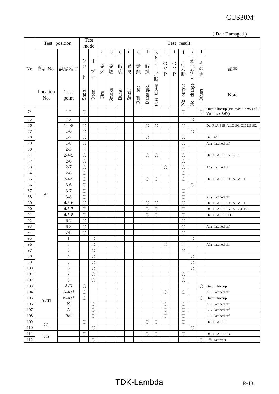|         |                 |                                |                                        |                                                     |      |             |             |       |         |            |                                                                               |                                          |                                     |                                     |                                     |                         | (Da: Damaged)                                      |
|---------|-----------------|--------------------------------|----------------------------------------|-----------------------------------------------------|------|-------------|-------------|-------|---------|------------|-------------------------------------------------------------------------------|------------------------------------------|-------------------------------------|-------------------------------------|-------------------------------------|-------------------------|----------------------------------------------------|
|         |                 | Test position                  |                                        | <b>Test</b><br>mode                                 |      |             |             |       |         |            |                                                                               |                                          | Test result                         |                                     |                                     |                         |                                                    |
|         |                 |                                |                                        |                                                     | a    | $\mathbf b$ | $\mathbf c$ | d     | e       | f          | g                                                                             | h                                        | $\mathbf{i}$                        | $\mathbf{1}$                        | $\mathbf k$                         | $\mathbf{1}$            |                                                    |
| No.     | 部品No.           | 試験端子                           | $\ddot{\vee}$<br>$\exists$<br>$\vdash$ | オ<br>$\frac{1}{2}$<br>プ<br>$\overline{\mathcal{S}}$ | 発火   | 発煙          | 破裂          | 異臭    | 赤熱      | 破損         | ヒ<br>$\mathfrak{\text{I}}$<br>$\begin{array}{c} \hline \end{array}$<br>ズ<br>断 | $\circ$<br>$\bar{\mathrm{V}}$<br>$\rm P$ | $\circ$<br>$\mathcal{C}$<br>$\rm P$ | 出<br>力<br>断                         | 変化な.<br>$\cup$                      | そ<br>$\mathcal{O}$<br>他 | 記事                                                 |
|         | Location<br>No. | <b>Test</b><br>point           | Short                                  | Open                                                | Fire | Smoke       | Burst       | Smell | Red hot | Damaged    | Fuse blown                                                                    |                                          |                                     | output<br>$\mathsf{S}^{\mathsf{O}}$ | change<br>$\mathsf{S}^{\mathsf{o}}$ | Others                  | Note                                               |
| 74      |                 | $1 - 2$                        | $\bigcirc$                             |                                                     |      |             |             |       |         |            |                                                                               |                                          |                                     | $\bigcirc$                          |                                     | $\bigcirc$              | Output hiccup (Pin max 5.72W and<br>Vout max 3.6V) |
| 75      |                 | $1 - 3$                        | $\bigcirc$                             |                                                     |      |             |             |       |         |            |                                                                               |                                          |                                     |                                     | $\bigcirc$                          |                         |                                                    |
| 76      |                 | $1 - 4/5$                      | $\bigcirc$                             |                                                     |      |             |             |       |         | $\bigcirc$ | $\bigcirc$                                                                    |                                          |                                     | $\bigcirc$                          |                                     |                         | Da: F1A,F1B,A1,Q101,C102,Z102                      |
| 77      |                 | $1-6$                          | $\bigcirc$                             |                                                     |      |             |             |       |         |            |                                                                               |                                          |                                     |                                     | $\bigcirc$                          |                         |                                                    |
| 78      |                 | $1 - 7$                        | $\bigcirc$                             |                                                     |      |             |             |       |         | $\bigcirc$ |                                                                               |                                          |                                     | $\bigcirc$                          |                                     |                         | Da: A1                                             |
| 79      |                 | $1 - 8$                        | $\bigcirc$                             |                                                     |      |             |             |       |         |            |                                                                               |                                          |                                     | $\bigcirc$                          |                                     |                         | A1: latched off                                    |
| $80\,$  |                 | $2 - 3$                        | $\bigcirc$                             |                                                     |      |             |             |       |         |            |                                                                               |                                          |                                     | $\bigcirc$                          |                                     |                         |                                                    |
| 81      |                 | $2 - 4/5$                      | $\bigcirc$                             |                                                     |      |             |             |       |         | $\bigcirc$ | $\bigcirc$                                                                    |                                          |                                     | $\bigcirc$                          |                                     |                         | Da: F1A,F1B,A1,Z103                                |
| 82      |                 | $2 - 6$                        | $\bigcirc$                             |                                                     |      |             |             |       |         |            |                                                                               |                                          |                                     | $\bigcirc$                          |                                     |                         |                                                    |
| 83      |                 | $2 - 7$                        | $\bigcirc$                             |                                                     |      |             |             |       |         |            |                                                                               | $\bigcirc$                               |                                     | $\bigcirc$                          |                                     |                         | A1: latched off                                    |
| 84      |                 | $2 - 8$                        | $\bigcirc$                             |                                                     |      |             |             |       |         |            |                                                                               |                                          |                                     | $\bigcirc$                          |                                     |                         |                                                    |
| 85      |                 | $3 - 4/5$                      | $\bigcirc$                             |                                                     |      |             |             |       |         | $\bigcirc$ | $\bigcirc$                                                                    |                                          |                                     | $\bigcirc$                          |                                     |                         | Da: F1A,F1B,D1,A1,Z101                             |
| 86      |                 | $3-6$                          | $\bigcirc$                             |                                                     |      |             |             |       |         |            |                                                                               |                                          |                                     |                                     | $\bigcirc$                          |                         |                                                    |
| $87\,$  |                 | $3 - 7$                        | $\bigcirc$                             |                                                     |      |             |             |       |         |            |                                                                               |                                          |                                     | $\bigcirc$                          |                                     |                         |                                                    |
| 88      | A1              | $3 - 8$                        | $\bigcirc$                             |                                                     |      |             |             |       |         |            |                                                                               |                                          |                                     | $\bigcirc$                          |                                     |                         | A1: latched off                                    |
| 89      |                 | $4/5 - 6$                      | $\bigcirc$                             |                                                     |      |             |             |       |         | $\bigcirc$ | $\bigcirc$                                                                    |                                          |                                     | $\bigcirc$                          |                                     |                         | Da: F1A,F1B,D1,A1,Z101                             |
| 90      |                 | $4/5 - 7$                      | $\bigcirc$                             |                                                     |      |             |             |       |         | $\bigcirc$ | $\bigcirc$                                                                    |                                          |                                     | $\bigcirc$                          |                                     |                         | Da: F1A,F1B,A1,Z102,Q101                           |
| 91      |                 | $4/5 - 8$                      | $\bigcirc$                             |                                                     |      |             |             |       |         | $\bigcirc$ | $\bigcirc$                                                                    |                                          |                                     | $\bigcirc$                          |                                     |                         | Da: F1A,F1B, D1                                    |
| 92      |                 | $6 - 7$                        | $\bigcirc$                             |                                                     |      |             |             |       |         |            |                                                                               |                                          |                                     | $\bigcirc$                          |                                     |                         |                                                    |
| 93      |                 | $6 - 8$                        | $\bigcirc$                             |                                                     |      |             |             |       |         |            |                                                                               |                                          |                                     | $\bigcirc$                          |                                     |                         | A1: latched off                                    |
| 94      |                 | $7 - 8$                        | $\bigcirc$                             |                                                     |      |             |             |       |         |            |                                                                               |                                          |                                     | $\bigcirc$                          |                                     |                         |                                                    |
| 95      |                 | $\mathbf{1}$                   |                                        | $\bigcirc$                                          |      |             |             |       |         |            |                                                                               |                                          |                                     |                                     | $\bigcirc$                          |                         |                                                    |
| 96      |                 | $\sqrt{2}$                     |                                        | $\bigcirc$                                          |      |             |             |       |         |            |                                                                               | $\bigcirc$                               |                                     | $\bigcirc$                          |                                     |                         | A1: latched off                                    |
| 97      |                 | 3                              |                                        | $\bigcirc$                                          |      |             |             |       |         |            |                                                                               |                                          |                                     | $\bigcirc$                          |                                     |                         |                                                    |
| 98      |                 | $\overline{4}$                 |                                        | $\bigcirc$                                          |      |             |             |       |         |            |                                                                               |                                          |                                     |                                     | $\bigcirc$                          |                         |                                                    |
| 99      |                 | 5                              |                                        | $\bigcirc$                                          |      |             |             |       |         |            |                                                                               |                                          |                                     |                                     | $\bigcirc$                          |                         |                                                    |
| 100     |                 | $\overline{6}$                 |                                        | $\bigcirc$                                          |      |             |             |       |         |            |                                                                               |                                          |                                     |                                     | $\bigcirc$                          |                         |                                                    |
| 101     |                 | $\boldsymbol{7}$               |                                        | $\bigcirc$                                          |      |             |             |       |         |            |                                                                               |                                          |                                     | $\bigcirc$                          |                                     |                         |                                                    |
| 102     |                 | 8                              |                                        | $\bigcirc$                                          |      |             |             |       |         |            |                                                                               |                                          |                                     | $\bigcirc$                          |                                     |                         |                                                    |
| 103     |                 | $\mathbf{A}\text{-}\mathbf{K}$ | $\bigcirc$                             |                                                     |      |             |             |       |         |            |                                                                               |                                          |                                     |                                     |                                     | $\bigcirc$              | Output hiccup                                      |
| 104     |                 | A-Ref                          | $\bigcirc$                             |                                                     |      |             |             |       |         |            |                                                                               | $\bigcirc$                               |                                     | $\bigcirc$                          |                                     |                         | A1: latched off                                    |
| 105     |                 | $K-Ref$                        | $\bigcirc$                             |                                                     |      |             |             |       |         |            |                                                                               |                                          |                                     |                                     |                                     | $\bigcirc$              | Output hiccup                                      |
| 106     | A201            | $\rm K$                        |                                        | $\bigcirc$                                          |      |             |             |       |         |            |                                                                               | $\bigcirc$                               |                                     | $\bigcirc$                          |                                     |                         | A1: latched off                                    |
| 107     |                 | $\mathbf{A}$                   |                                        | $\bigcirc$                                          |      |             |             |       |         |            |                                                                               | $\bigcirc$                               |                                     | $\bigcirc$                          |                                     |                         | A1: latched off                                    |
| $108\,$ |                 | Ref                            |                                        | $\bigcirc$                                          |      |             |             |       |         |            |                                                                               | $\bigcirc$                               |                                     | $\bigcirc$                          |                                     |                         | A1: latched off                                    |
| 109     |                 |                                | $\bigcirc$                             |                                                     |      |             |             |       |         | $\bigcirc$ | $\bigcirc$                                                                    |                                          |                                     | $\bigcirc$                          |                                     |                         | Da: F1A,F1B                                        |
| 110     | C1              |                                |                                        | $\bigcirc$                                          |      |             |             |       |         |            |                                                                               |                                          |                                     |                                     | $\bigcirc$                          |                         |                                                    |
| 111     |                 |                                | $\bigcirc$                             |                                                     |      |             |             |       |         | $\bigcirc$ | $\bigcirc$                                                                    |                                          |                                     | $\bigcirc$                          |                                     |                         | Da: F1A,F1B,D1                                     |
| 112     | C6              |                                |                                        | $\overline{O}$                                      |      |             |             |       |         |            |                                                                               |                                          |                                     |                                     |                                     | ∩                       | Effi. Decrease                                     |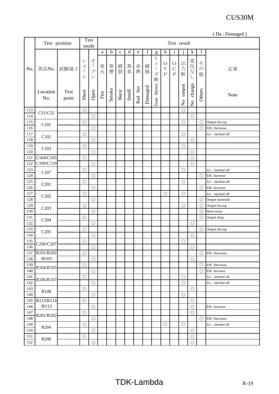|            | (Da: Damaged)                 |                      |                                              |                                                                               |      |       |             |       |         |         |                                                                                                                                                                                                                                                                                                                                                                                                                                                                                                                                                                                                                                                                                                                                                                                                                                                                                                                                        |                                    |                                        |                                     |                                          |                         |                          |
|------------|-------------------------------|----------------------|----------------------------------------------|-------------------------------------------------------------------------------|------|-------|-------------|-------|---------|---------|----------------------------------------------------------------------------------------------------------------------------------------------------------------------------------------------------------------------------------------------------------------------------------------------------------------------------------------------------------------------------------------------------------------------------------------------------------------------------------------------------------------------------------------------------------------------------------------------------------------------------------------------------------------------------------------------------------------------------------------------------------------------------------------------------------------------------------------------------------------------------------------------------------------------------------------|------------------------------------|----------------------------------------|-------------------------------------|------------------------------------------|-------------------------|--------------------------|
|            |                               | Test position        |                                              | <b>Test</b><br>Test result<br>mode                                            |      |       |             |       |         |         |                                                                                                                                                                                                                                                                                                                                                                                                                                                                                                                                                                                                                                                                                                                                                                                                                                                                                                                                        |                                    |                                        |                                     |                                          |                         |                          |
|            |                               |                      |                                              |                                                                               | a    | b     | $\mathbf c$ | d     | e       | f       | $\mathbf{g}$                                                                                                                                                                                                                                                                                                                                                                                                                                                                                                                                                                                                                                                                                                                                                                                                                                                                                                                           | h                                  | $\mathbf{1}$                           |                                     | $\mathbf k$                              | $\mathbf{l}$            |                          |
| No.        | 部品No.                         | 試験端子                 | $\ddot{\checkmark}$<br>$\exists$<br>$\vdash$ | 才<br>$\Big\}$<br>$\overline{\mathcal{J}}^{\circ}$<br>$\overline{\mathcal{V}}$ | 発火   | 発煙    | 破裂          | 異臭    | 赤熱      | 破損      | ヒ<br>$\overline{\phantom{a}}$<br>$\Big] % \centering \includegraphics[width=0.9\textwidth]{images/TrDiM-Architecture.png} % \caption { % of the GIM and the GIM (M) and the GIM (M) and the GIM (M) are shown in the case of $X$. The first two different values are shown in the case of $X$. The first two different values are shown in the case of $X$. The first two different values are shown in the case of $X$. The first two different values are shown in the case of $X$. The first two different values are shown in the case of $X$. The first two different values are shown in the case of $X$. The first two different values are shown in the case of $X$. The first two different values are shown in the case of $X$. The first two different values are shown in the case of $X$. The first two different values are shown in the case of $X$. The first two different values are shown in the case of$<br>ズ<br>断 | $\bigcirc$<br>$\bar{V}$<br>$\rm P$ | $\bigcirc$<br>$\mathcal{C}$<br>$\rm P$ | 出力<br>断                             | 変化な                                      | そ<br>$\mathcal{O}$<br>他 | 記事                       |
|            | Location<br>No.               | <b>Test</b><br>point | Short                                        | Open                                                                          | Fire | Smoke | Burst       | Smell | Red hot | Damaged | Fuse blown                                                                                                                                                                                                                                                                                                                                                                                                                                                                                                                                                                                                                                                                                                                                                                                                                                                                                                                             |                                    |                                        | output<br>$\mathsf{S}^{\mathsf{O}}$ | change<br>$\mathop{\mathsf{S}}\nolimits$ | Others                  | Note                     |
| 113        | C51/C52                       |                      | $\bigcirc$                                   |                                                                               |      |       |             |       |         |         |                                                                                                                                                                                                                                                                                                                                                                                                                                                                                                                                                                                                                                                                                                                                                                                                                                                                                                                                        |                                    |                                        | $\bigcirc$                          |                                          |                         |                          |
| 114        |                               |                      |                                              | $\bigcirc$                                                                    |      |       |             |       |         |         |                                                                                                                                                                                                                                                                                                                                                                                                                                                                                                                                                                                                                                                                                                                                                                                                                                                                                                                                        |                                    |                                        |                                     | $\bigcirc$                               |                         |                          |
| 115        | C101                          |                      | $\bigcirc$                                   |                                                                               |      |       |             |       |         |         |                                                                                                                                                                                                                                                                                                                                                                                                                                                                                                                                                                                                                                                                                                                                                                                                                                                                                                                                        |                                    |                                        | $\bigcirc$                          |                                          | $\bigcirc$              | Output hiccup            |
| 116        |                               |                      |                                              | $\bigcirc$                                                                    |      |       |             |       |         |         |                                                                                                                                                                                                                                                                                                                                                                                                                                                                                                                                                                                                                                                                                                                                                                                                                                                                                                                                        |                                    |                                        |                                     |                                          | $\bigcirc$              | Effi. Decrease           |
| 117        | C102                          |                      | $\bigcirc$                                   |                                                                               |      |       |             |       |         |         |                                                                                                                                                                                                                                                                                                                                                                                                                                                                                                                                                                                                                                                                                                                                                                                                                                                                                                                                        |                                    |                                        | $\circ$                             |                                          |                         | A1: latched off          |
| 118        |                               |                      |                                              | $\bigcirc$                                                                    |      |       |             |       |         |         |                                                                                                                                                                                                                                                                                                                                                                                                                                                                                                                                                                                                                                                                                                                                                                                                                                                                                                                                        |                                    |                                        |                                     | $\bigcirc$                               |                         |                          |
| 119        |                               |                      | $\bigcirc$                                   |                                                                               |      |       |             |       |         |         |                                                                                                                                                                                                                                                                                                                                                                                                                                                                                                                                                                                                                                                                                                                                                                                                                                                                                                                                        |                                    |                                        | $\bigcirc$                          |                                          |                         |                          |
| 120        | C103                          |                      |                                              | $\bigcirc$                                                                    |      |       |             |       |         |         |                                                                                                                                                                                                                                                                                                                                                                                                                                                                                                                                                                                                                                                                                                                                                                                                                                                                                                                                        |                                    |                                        |                                     | $\bigcirc$                               |                         |                          |
| 121        | C104/C105                     |                      | $\bigcirc$                                   |                                                                               |      |       |             |       |         |         |                                                                                                                                                                                                                                                                                                                                                                                                                                                                                                                                                                                                                                                                                                                                                                                                                                                                                                                                        |                                    |                                        |                                     | $\bigcirc$                               |                         |                          |
| 122        | C109/C110                     |                      |                                              | $\bigcirc$                                                                    |      |       |             |       |         |         |                                                                                                                                                                                                                                                                                                                                                                                                                                                                                                                                                                                                                                                                                                                                                                                                                                                                                                                                        |                                    |                                        |                                     | $\bigcirc$                               |                         |                          |
| 123        |                               |                      | $\bigcirc$                                   |                                                                               |      |       |             |       |         |         |                                                                                                                                                                                                                                                                                                                                                                                                                                                                                                                                                                                                                                                                                                                                                                                                                                                                                                                                        |                                    |                                        | $\bigcirc$                          |                                          |                         | A1: latched off          |
| 124        | C107                          |                      |                                              | $\bigcirc$                                                                    |      |       |             |       |         |         |                                                                                                                                                                                                                                                                                                                                                                                                                                                                                                                                                                                                                                                                                                                                                                                                                                                                                                                                        |                                    |                                        |                                     |                                          | $\bigcirc$              | Effi. Increase           |
| 125        |                               |                      | $\bigcirc$                                   |                                                                               |      |       |             |       |         |         |                                                                                                                                                                                                                                                                                                                                                                                                                                                                                                                                                                                                                                                                                                                                                                                                                                                                                                                                        |                                    |                                        | $\bigcirc$                          |                                          |                         | A1: latched off          |
| 126        | C201                          |                      |                                              | $\bigcirc$                                                                    |      |       |             |       |         |         |                                                                                                                                                                                                                                                                                                                                                                                                                                                                                                                                                                                                                                                                                                                                                                                                                                                                                                                                        |                                    |                                        |                                     |                                          | $\bigcirc$              | Effi. Increase           |
| 127        |                               |                      | $\bigcirc$                                   |                                                                               |      |       |             |       |         |         |                                                                                                                                                                                                                                                                                                                                                                                                                                                                                                                                                                                                                                                                                                                                                                                                                                                                                                                                        | $\bigcirc$                         |                                        | $\bigcirc$                          |                                          |                         | A1: latched off          |
| 128        | C <sub>2</sub> 0 <sub>2</sub> |                      |                                              | $\bigcirc$                                                                    |      |       |             |       |         |         |                                                                                                                                                                                                                                                                                                                                                                                                                                                                                                                                                                                                                                                                                                                                                                                                                                                                                                                                        |                                    |                                        |                                     |                                          | $\bigcirc$              | Output unsteady          |
| 129        |                               |                      | $\bigcirc$                                   |                                                                               |      |       |             |       |         |         |                                                                                                                                                                                                                                                                                                                                                                                                                                                                                                                                                                                                                                                                                                                                                                                                                                                                                                                                        |                                    |                                        | $\bigcirc$                          |                                          | $\bigcirc$              | Output hiccup            |
| 130        | C203                          |                      |                                              | $\bigcirc$                                                                    |      |       |             |       |         |         |                                                                                                                                                                                                                                                                                                                                                                                                                                                                                                                                                                                                                                                                                                                                                                                                                                                                                                                                        |                                    |                                        |                                     |                                          | $\bigcirc$              | Have noise               |
| 131        |                               |                      | $\bigcirc$                                   |                                                                               |      |       |             |       |         |         |                                                                                                                                                                                                                                                                                                                                                                                                                                                                                                                                                                                                                                                                                                                                                                                                                                                                                                                                        |                                    |                                        |                                     |                                          | $\bigcirc$              | Output drop              |
| 132        | C <sub>204</sub>              |                      |                                              | $\bigcirc$                                                                    |      |       |             |       |         |         |                                                                                                                                                                                                                                                                                                                                                                                                                                                                                                                                                                                                                                                                                                                                                                                                                                                                                                                                        |                                    |                                        |                                     | $\bigcirc$                               |                         |                          |
| 133        |                               |                      | $\bigcirc$                                   |                                                                               |      |       |             |       |         |         |                                                                                                                                                                                                                                                                                                                                                                                                                                                                                                                                                                                                                                                                                                                                                                                                                                                                                                                                        |                                    |                                        |                                     |                                          |                         | $\bigcirc$ Output hiccup |
| 134        | C <sub>205</sub>              |                      |                                              | $\bigcirc$                                                                    |      |       |             |       |         |         |                                                                                                                                                                                                                                                                                                                                                                                                                                                                                                                                                                                                                                                                                                                                                                                                                                                                                                                                        |                                    |                                        |                                     | $\bigcirc$                               |                         |                          |
| 135        |                               |                      | $\bigcirc$                                   |                                                                               |      |       |             |       |         |         |                                                                                                                                                                                                                                                                                                                                                                                                                                                                                                                                                                                                                                                                                                                                                                                                                                                                                                                                        |                                    |                                        | $\bigcirc$                          |                                          |                         |                          |
| 136        | C206/C207                     |                      |                                              | $\bigcirc$                                                                    |      |       |             |       |         |         |                                                                                                                                                                                                                                                                                                                                                                                                                                                                                                                                                                                                                                                                                                                                                                                                                                                                                                                                        |                                    |                                        |                                     | $\bigcirc$                               |                         |                          |
| 137        | R101/R102                     |                      | $\bigcirc$                                   |                                                                               |      |       |             |       |         |         |                                                                                                                                                                                                                                                                                                                                                                                                                                                                                                                                                                                                                                                                                                                                                                                                                                                                                                                                        |                                    |                                        |                                     |                                          | $\bigcirc$              | Effi. Decrease           |
| 138        | /R103                         |                      |                                              | $\bigcirc$                                                                    |      |       |             |       |         |         |                                                                                                                                                                                                                                                                                                                                                                                                                                                                                                                                                                                                                                                                                                                                                                                                                                                                                                                                        |                                    |                                        |                                     | $\bigcirc$                               |                         |                          |
| 139        |                               |                      | $\bigcirc$                                   |                                                                               |      |       |             |       |         |         |                                                                                                                                                                                                                                                                                                                                                                                                                                                                                                                                                                                                                                                                                                                                                                                                                                                                                                                                        |                                    |                                        |                                     |                                          | $\bigcirc$              | Effi. Decrease           |
| 140        | R104/R105                     |                      |                                              | $\bigcirc$                                                                    |      |       |             |       |         |         |                                                                                                                                                                                                                                                                                                                                                                                                                                                                                                                                                                                                                                                                                                                                                                                                                                                                                                                                        |                                    |                                        |                                     |                                          | $\bigcirc$              | Effi. Increase           |
| 141        |                               |                      | $\bigcirc$                                   |                                                                               |      |       |             |       |         |         |                                                                                                                                                                                                                                                                                                                                                                                                                                                                                                                                                                                                                                                                                                                                                                                                                                                                                                                                        |                                    |                                        | $\bigcirc$                          |                                          |                         | A1: latched off          |
| 142        | R106/R107                     |                      |                                              | $\bigcirc$                                                                    |      |       |             |       |         |         |                                                                                                                                                                                                                                                                                                                                                                                                                                                                                                                                                                                                                                                                                                                                                                                                                                                                                                                                        |                                    |                                        | $\bigcirc$                          |                                          |                         | A1: latched off          |
|            |                               |                      |                                              |                                                                               |      |       |             |       |         |         |                                                                                                                                                                                                                                                                                                                                                                                                                                                                                                                                                                                                                                                                                                                                                                                                                                                                                                                                        |                                    |                                        |                                     |                                          |                         |                          |
| 143<br>144 | R <sub>108</sub>              |                      | $\bigcirc$                                   |                                                                               |      |       |             |       |         |         |                                                                                                                                                                                                                                                                                                                                                                                                                                                                                                                                                                                                                                                                                                                                                                                                                                                                                                                                        |                                    |                                        |                                     | $\bigcirc$                               |                         |                          |
|            | R113/R114                     |                      |                                              | $\bigcirc$                                                                    |      |       |             |       |         |         |                                                                                                                                                                                                                                                                                                                                                                                                                                                                                                                                                                                                                                                                                                                                                                                                                                                                                                                                        |                                    |                                        | $\bigcirc$                          |                                          |                         |                          |
| 145<br>146 | /R115                         |                      | $\bigcirc$                                   | $\bigcirc$                                                                    |      |       |             |       |         |         |                                                                                                                                                                                                                                                                                                                                                                                                                                                                                                                                                                                                                                                                                                                                                                                                                                                                                                                                        |                                    |                                        |                                     | $\bigcirc$<br>$\bigcirc$                 |                         |                          |
|            |                               |                      |                                              |                                                                               |      |       |             |       |         |         |                                                                                                                                                                                                                                                                                                                                                                                                                                                                                                                                                                                                                                                                                                                                                                                                                                                                                                                                        |                                    |                                        |                                     | $\bigcirc$                               |                         | Effi. Increase           |
| 147<br>148 | R201/R202                     |                      | $\bigcirc$                                   |                                                                               |      |       |             |       |         |         |                                                                                                                                                                                                                                                                                                                                                                                                                                                                                                                                                                                                                                                                                                                                                                                                                                                                                                                                        |                                    |                                        |                                     |                                          |                         |                          |
|            |                               |                      |                                              | $\bigcirc$                                                                    |      |       |             |       |         |         |                                                                                                                                                                                                                                                                                                                                                                                                                                                                                                                                                                                                                                                                                                                                                                                                                                                                                                                                        | $\bigcirc$                         |                                        | $\bigcirc$                          |                                          | $\bigcirc$              | Effi. Decrease           |
| 149        | R <sub>204</sub>              |                      | $\bigcirc$                                   |                                                                               |      |       |             |       |         |         |                                                                                                                                                                                                                                                                                                                                                                                                                                                                                                                                                                                                                                                                                                                                                                                                                                                                                                                                        |                                    |                                        |                                     |                                          |                         | A1: latched off          |
| 150        |                               |                      |                                              | $\bigcirc$                                                                    |      |       |             |       |         |         |                                                                                                                                                                                                                                                                                                                                                                                                                                                                                                                                                                                                                                                                                                                                                                                                                                                                                                                                        |                                    |                                        |                                     | $\bigcirc$                               |                         |                          |
| 151<br>152 | R206                          |                      | $\bigcirc$                                   |                                                                               |      |       |             |       |         |         |                                                                                                                                                                                                                                                                                                                                                                                                                                                                                                                                                                                                                                                                                                                                                                                                                                                                                                                                        |                                    |                                        |                                     | $\bigcirc$                               |                         |                          |
|            |                               |                      |                                              | $\bigcirc$                                                                    |      |       |             |       |         |         |                                                                                                                                                                                                                                                                                                                                                                                                                                                                                                                                                                                                                                                                                                                                                                                                                                                                                                                                        |                                    |                                        |                                     | $\bigcirc$                               |                         |                          |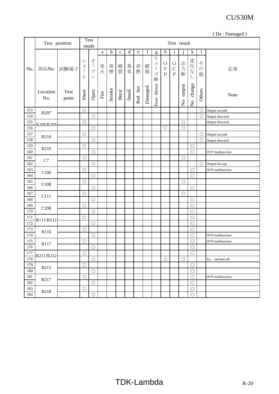|     |                  |                      |                         |                                                                                                 |      |       |             |       |           |             |                                                                                                                                                                                                                                      |                                                    |                                     |                                     |                                   |              | (Da: Damaged)   |
|-----|------------------|----------------------|-------------------------|-------------------------------------------------------------------------------------------------|------|-------|-------------|-------|-----------|-------------|--------------------------------------------------------------------------------------------------------------------------------------------------------------------------------------------------------------------------------------|----------------------------------------------------|-------------------------------------|-------------------------------------|-----------------------------------|--------------|-----------------|
|     |                  | Test position        |                         | <b>Test</b><br>mode                                                                             |      |       |             |       |           |             |                                                                                                                                                                                                                                      |                                                    |                                     | Test result                         |                                   |              |                 |
|     |                  |                      |                         |                                                                                                 | a    | b     | $\mathbf c$ | d     | ${\bf e}$ | $\mathbf f$ | g                                                                                                                                                                                                                                    | h                                                  | $\mathbf{i}$                        |                                     | $\mathbf k$                       | $\mathbf{1}$ |                 |
| No. | 部品No.            | 試験端子                 | シ<br>ヨ<br> <br>$\vdash$ | オ<br>$\begin{array}{c} \hline \end{array}$<br>$\mathcal{I}^{\circ}$<br>$\overline{\mathscr{S}}$ | 発火   | 発煙    | 破裂          | 異臭    | 赤熱        | 破損          | ヒ<br>$\mathfrak{L}% =\mathfrak{L}_{\mathcal{A}}\left( \mathfrak{L}_{\mathcal{A}}\right) ^{\ast}\otimes\mathfrak{L}_{\mathcal{A}}\left( \mathfrak{L}_{\mathcal{A}}\right) ^{\ast}$<br>$\begin{array}{c} \hline \end{array}$<br>ズ<br>断 | $\bigcirc$<br>$\overline{\mathrm{V}}$<br>${\bf P}$ | $\circ$<br>$\mathcal{C}$<br>$\rm P$ | 出<br>方<br>断                         | 変化な                               | その<br>他      | 記事              |
|     | Location<br>No.  | <b>Test</b><br>point | Short                   | Open                                                                                            | Fire | Smoke | Burst       | Smell | Red hot   | Damaged     | Fuse blown                                                                                                                                                                                                                           |                                                    |                                     | output<br>$\mathsf{S}^{\mathsf{o}}$ | change<br>$\overline{\mathsf{S}}$ | Others       | Note            |
| 153 | R <sub>207</sub> |                      | $\bigcirc$              |                                                                                                 |      |       |             |       |           |             |                                                                                                                                                                                                                                      |                                                    |                                     |                                     |                                   | $\circ$      | Output ascend   |
| 154 |                  |                      |                         | $\bigcirc$                                                                                      |      |       |             |       |           |             |                                                                                                                                                                                                                                      |                                                    |                                     |                                     |                                   | $\bigcirc$   | Output descend  |
| 155 | R208/R209        |                      | $\bigcirc$              |                                                                                                 |      |       |             |       |           |             |                                                                                                                                                                                                                                      |                                                    |                                     | $\bigcirc$                          |                                   |              | Output descend  |
| 156 |                  |                      |                         | $\bigcirc$                                                                                      |      |       |             |       |           |             |                                                                                                                                                                                                                                      | $\bigcirc$                                         |                                     | $\circ$                             |                                   |              |                 |
| 157 | R210             |                      | $\bigcirc$              |                                                                                                 |      |       |             |       |           |             |                                                                                                                                                                                                                                      |                                                    |                                     |                                     |                                   | $\bigcirc$   | Output ascend   |
| 158 |                  |                      |                         | $\bigcirc$                                                                                      |      |       |             |       |           |             |                                                                                                                                                                                                                                      |                                                    |                                     |                                     |                                   | $\bigcirc$   | Output descend  |
| 159 | R216             |                      | $\bigcirc$              |                                                                                                 |      |       |             |       |           |             |                                                                                                                                                                                                                                      |                                                    |                                     |                                     | $\bigcirc$                        |              |                 |
| 160 |                  |                      |                         | $\bigcirc$                                                                                      |      |       |             |       |           |             |                                                                                                                                                                                                                                      |                                                    |                                     |                                     | $\bigcirc$                        |              | OVP malfunction |
| 161 | C7               |                      | $\bigcirc$              |                                                                                                 |      |       |             |       |           |             |                                                                                                                                                                                                                                      |                                                    |                                     | $\bigcirc$                          |                                   |              |                 |
| 162 |                  |                      |                         | $\bigcirc$                                                                                      |      |       |             |       |           |             |                                                                                                                                                                                                                                      |                                                    |                                     |                                     |                                   | $\bigcirc$   | Output hiccup   |
| 163 | C106             |                      | $\bigcirc$              |                                                                                                 |      |       |             |       |           |             |                                                                                                                                                                                                                                      |                                                    |                                     |                                     | $\bigcirc$                        |              | OVP malfunction |
| 164 |                  |                      |                         | $\bigcirc$                                                                                      |      |       |             |       |           |             |                                                                                                                                                                                                                                      |                                                    |                                     |                                     | $\bigcirc$                        |              |                 |
| 165 | C108             |                      | $\bigcirc$              |                                                                                                 |      |       |             |       |           |             |                                                                                                                                                                                                                                      |                                                    |                                     | $\bigcirc$                          |                                   |              |                 |
| 166 |                  |                      |                         | $\bigcirc$                                                                                      |      |       |             |       |           |             |                                                                                                                                                                                                                                      |                                                    |                                     |                                     | $\bigcirc$                        |              |                 |
| 167 | C111             |                      | $\bigcirc$              |                                                                                                 |      |       |             |       |           |             |                                                                                                                                                                                                                                      |                                                    |                                     | $\bigcirc$                          |                                   |              |                 |
| 168 |                  |                      |                         | $\bigcirc$                                                                                      |      |       |             |       |           |             |                                                                                                                                                                                                                                      |                                                    |                                     |                                     | $\bigcirc$                        |              |                 |
| 169 | C <sub>208</sub> |                      | $\bigcirc$              |                                                                                                 |      |       |             |       |           |             |                                                                                                                                                                                                                                      |                                                    |                                     |                                     | $\bigcirc$                        |              |                 |
| 170 |                  |                      |                         | $\bigcirc$                                                                                      |      |       |             |       |           |             |                                                                                                                                                                                                                                      |                                                    |                                     |                                     | $\bigcirc$                        |              |                 |
| 171 | R111/R112        |                      | $\bigcirc$              |                                                                                                 |      |       |             |       |           |             |                                                                                                                                                                                                                                      |                                                    |                                     |                                     | $\bigcirc$                        |              |                 |
| 172 |                  |                      |                         | $\bigcirc$                                                                                      |      |       |             |       |           |             |                                                                                                                                                                                                                                      |                                                    |                                     |                                     | $\bigcirc$                        |              |                 |
| 173 | R116             |                      | $\bigcirc$              |                                                                                                 |      |       |             |       |           |             |                                                                                                                                                                                                                                      |                                                    |                                     |                                     | $\bigcirc$                        |              |                 |
| 174 |                  |                      |                         | $\bigcirc$                                                                                      |      |       |             |       |           |             |                                                                                                                                                                                                                                      |                                                    |                                     |                                     | $\bigcirc$                        |              | OVP malfunction |
| 175 | R117             |                      | $\bigcirc$              |                                                                                                 |      |       |             |       |           |             |                                                                                                                                                                                                                                      |                                                    |                                     |                                     | $\bigcirc$                        |              | OVP malfunction |
| 176 |                  |                      |                         | $\bigcirc$                                                                                      |      |       |             |       |           |             |                                                                                                                                                                                                                                      |                                                    |                                     |                                     | $\bigcirc$                        |              |                 |
| 177 |                  |                      | $\bigcirc$              |                                                                                                 |      |       |             |       |           |             |                                                                                                                                                                                                                                      |                                                    |                                     |                                     | $\bigcirc$                        |              |                 |
| 178 | R211/R212        |                      |                         | $\bigcirc$                                                                                      |      |       |             |       |           |             |                                                                                                                                                                                                                                      | $\bigcirc$                                         |                                     | $\bigcirc$                          |                                   |              | A1: latched off |
| 179 |                  |                      | $\bigcirc$              |                                                                                                 |      |       |             |       |           |             |                                                                                                                                                                                                                                      |                                                    |                                     |                                     | $\bigcirc$                        |              |                 |
| 180 | R213             |                      |                         | $\bigcirc$                                                                                      |      |       |             |       |           |             |                                                                                                                                                                                                                                      |                                                    |                                     |                                     | $\bigcirc$                        |              |                 |
| 181 |                  |                      | $\bigcirc$              |                                                                                                 |      |       |             |       |           |             |                                                                                                                                                                                                                                      |                                                    |                                     |                                     | $\bigcirc$                        |              | OVP malfunction |
| 182 | R217             |                      |                         | $\bigcirc$                                                                                      |      |       |             |       |           |             |                                                                                                                                                                                                                                      |                                                    |                                     |                                     | $\bigcirc$                        |              |                 |
| 183 |                  |                      | $\bigcirc$              |                                                                                                 |      |       |             |       |           |             |                                                                                                                                                                                                                                      |                                                    |                                     |                                     | $\bigcirc$                        |              |                 |
| 184 | R218             |                      |                         | $\bigcirc$                                                                                      |      |       |             |       |           |             |                                                                                                                                                                                                                                      |                                                    |                                     |                                     | $\bigcirc$                        |              |                 |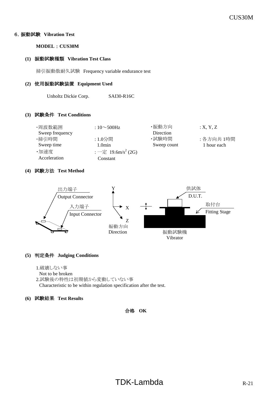#### 6.振動試験 **Vibration Test**

**MODEL** : **CUS30M**

#### **(1)** 振動試験種類 **Vibration Test Class**

掃引振動数耐久試験 Frequency variable endurance test

#### **(2)** 使用振動試験装置 **Equipment Used**

Unholtz Dickie Corp. SAI30-R16C

#### **(3)** 試験条件 **Test Conditions**

| ・周波数範囲          | : $10 \sim 500$ Hz             | ・振動方向       | : X, Y, Z   |
|-----------------|--------------------------------|-------------|-------------|
| Sweep frequency |                                | Direction   |             |
| ・掃引時間           | : 1.0分間                        | ·試験時間       | : 各方向共 1時間  |
| Sweep time      | 1.0min                         | Sweep count | 1 hour each |
| ・加速度            | : 一定 19.6m/s <sup>2</sup> (2G) |             |             |
| Acceleration    | Constant                       |             |             |

#### **(4)** 試験方法 **Test Method**



#### **(5)** 判定条件 **Judging Conditions**

1.破壊しない事

Not to be broken 2.試験後の特性は初期値から変動していない事 Characteristic to be within regulation specification after the test.

#### **(6)** 試験結果 **Test Results**

#### 合格 **OK**

# $TDK-Lambda$  R-21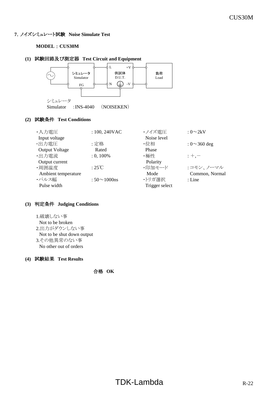#### **7**.ノイズシミュレート試験 **Noise Simulate Test**

#### **MODEL** : **CUS30M**

#### **(1)** 試験回路及び測定器 **Test Circuit and Equipment**



# **(2)** 試験条件 **Test Conditions**

| ・入力電圧<br>Input voltage | $: 100, 240$ VAC   | ・ノイズ雷圧<br>Noise level | : $0\sim2kV$       |
|------------------------|--------------------|-----------------------|--------------------|
| ・出力電圧                  | :定格                | ・位相                   | : $0 \sim 360$ deg |
| <b>Output Voltage</b>  | Rated              | Phase                 |                    |
| ·出力電流                  | $: 0, 100\%$       | ・極性                   | $: +, -$           |
| Output current         |                    | Polarity              |                    |
| ·周囲温度                  | $:25^{\circ}C$     | ・印加モード                | : コモン、ノーマル         |
| Ambient temperature    |                    | Mode                  | Common, Normal     |
| ・パルス幅                  | $:50 \sim 1000$ ns | ・トリガ選択                | : Line             |
| Pulse width            |                    | Trigger select        |                    |

#### **(3)** 判定条件 **Judging Conditions**

1.破壊しない事

# Not to be broken

- 2.出力がダウンしない事 Not to be shut down output
- 3.その他異常のない事

No other out of orders

#### **(4)** 試験結果 **Test Results**

合格 **OK**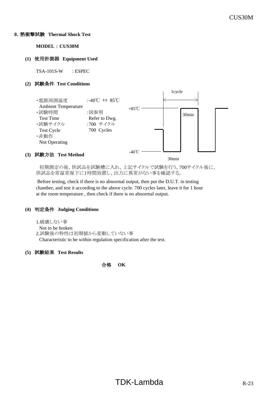#### **8**.熱衝撃試験 **Thermal Shock Test**

**MODEL** : **CUS30M**

#### **(1)** 使用計測器 **Equipment Used**

TSA-101S-W : ESPEC

#### **(2)** 試験条件 **Test Conditions**



 初期測定の後、供試品を試験槽に入れ、上記サイクルで試験を行う。700サイクル後に、 供試品を常温常湿下に1時間放置し、出力に異常がない事を確認する。

 Before testing, check if there is no abnormal output, then put the D.U.T. in testing chamber, and test it according to the above cycle. 700 cycles later, leave it for 1 hour at the room temperature , then check if there is no abnormal output.

#### **(4)** 判定条件 **Judging Conditions**

1.破壊しない事

```
Not to be broken
```
2.試験後の特性は初期値から変動していない事 Characteristic to be within regulation specification after the test.

#### **(5)** 試験結果 **Test Results**

合格 **OK**